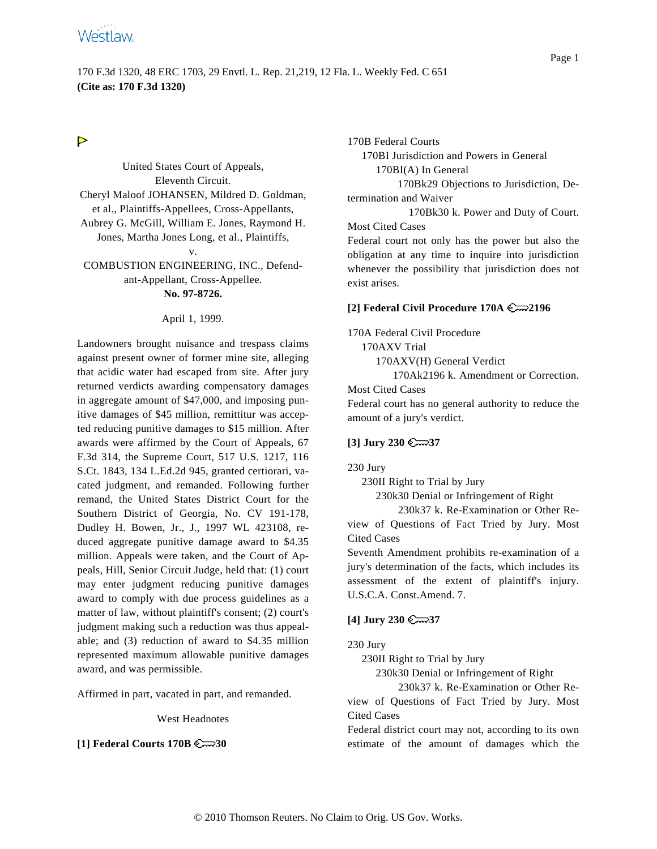

# $\triangleright$

United States Court of Appeals, Eleventh Circuit. Cheryl Maloof JOHANSEN, Mildred D. Goldman, et al., Plaintiffs-Appellees, Cross-Appellants, Aubrey G. McGill, William E. Jones, Raymond H. Jones, Martha Jones Long, et al., Plaintiffs, v.

COMBUSTION ENGINEERING, INC., Defendant-Appellant, Cross-Appellee. **No. 97-8726.**

#### April 1, 1999.

Landowners brought nuisance and trespass claims against present owner of former mine site, alleging that acidic water had escaped from site. After jury returned verdicts awarding compensatory damages in aggregate amount of \$47,000, and imposing punitive damages of \$45 million, remittitur was accepted reducing punitive damages to \$15 million. After awards were affirmed by the Court of Appeals, 67 F.3d 314, the Supreme Court, 517 U.S. 1217, 116 S.Ct. 1843, 134 L.Ed.2d 945, granted certiorari, vacated judgment, and remanded. Following further remand, the United States District Court for the Southern District of Georgia, No. CV 191-178, Dudley H. Bowen, Jr., J., 1997 WL 423108, reduced aggregate punitive damage award to \$4.35 million. Appeals were taken, and the Court of Appeals, Hill, Senior Circuit Judge, held that: (1) court may enter judgment reducing punitive damages award to comply with due process guidelines as a matter of law, without plaintiff's consent; (2) court's judgment making such a reduction was thus appealable; and (3) reduction of award to \$4.35 million represented maximum allowable punitive damages award, and was permissible.

Affirmed in part, vacated in part, and remanded.

West Headnotes

#### **[1] Federal Courts 170B 30**

170B Federal Courts 170BI Jurisdiction and Powers in General 170BI(A) In General 170Bk29 Objections to Jurisdiction, Determination and Waiver 170Bk30 k. Power and Duty of Court.

Most Cited Cases

Federal court not only has the power but also the obligation at any time to inquire into jurisdiction whenever the possibility that jurisdiction does not exist arises.

#### **[2] Federal Civil Procedure 170A 2196**

170A Federal Civil Procedure 170AXV Trial 170AXV(H) General Verdict 170Ak2196 k. Amendment or Correction. Most Cited Cases

Federal court has no general authority to reduce the amount of a jury's verdict.

# **[3] Jury 230 37**

230 Jury

230II Right to Trial by Jury

230k30 Denial or Infringement of Right

230k37 k. Re-Examination or Other Review of Questions of Fact Tried by Jury. Most Cited Cases

Seventh Amendment prohibits re-examination of a jury's determination of the facts, which includes its assessment of the extent of plaintiff's injury. U.S.C.A. Const.Amend. 7.

#### **[4] Jury 230 37**

#### 230 Jury

230II Right to Trial by Jury

230k30 Denial or Infringement of Right

230k37 k. Re-Examination or Other Review of Questions of Fact Tried by Jury. Most Cited Cases

Federal district court may not, according to its own estimate of the amount of damages which the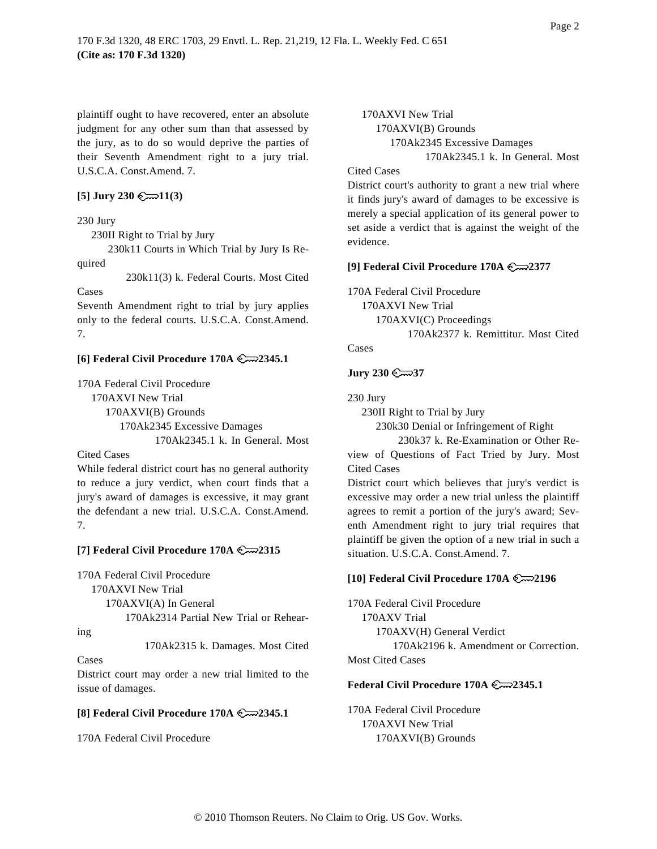plaintiff ought to have recovered, enter an absolute judgment for any other sum than that assessed by the jury, as to do so would deprive the parties of their Seventh Amendment right to a jury trial. U.S.C.A. Const.Amend. 7.

# **[5] Jury 230 11(3)**

#### 230 Jury

Cases

230II Right to Trial by Jury

230k11 Courts in Which Trial by Jury Is Required

230k11(3) k. Federal Courts. Most Cited

Seventh Amendment right to trial by jury applies only to the federal courts. U.S.C.A. Const.Amend. 7.

# **[6] Federal Civil Procedure 170A 2345.1**

170A Federal Civil Procedure 170AXVI New Trial 170AXVI(B) Grounds 170Ak2345 Excessive Damages 170Ak2345.1 k. In General. Most

Cited Cases

While federal district court has no general authority to reduce a jury verdict, when court finds that a jury's award of damages is excessive, it may grant the defendant a new trial. U.S.C.A. Const.Amend. 7.

# **[7] Federal Civil Procedure 170A 2315**

170A Federal Civil Procedure

170AXVI New Trial

170AXVI(A) In General

170Ak2314 Partial New Trial or Rehear-

ing

170Ak2315 k. Damages. Most Cited

Cases

District court may order a new trial limited to the issue of damages.

# **[8] Federal Civil Procedure 170A 2345.1**

170A Federal Civil Procedure

170AXVI New Trial 170AXVI(B) Grounds 170Ak2345 Excessive Damages 170Ak2345.1 k. In General. Most

# Cited Cases

District court's authority to grant a new trial where it finds jury's award of damages to be excessive is merely a special application of its general power to set aside a verdict that is against the weight of the evidence.

# **[9] Federal Civil Procedure 170A 2377**

170A Federal Civil Procedure 170AXVI New Trial 170AXVI(C) Proceedings 170Ak2377 k. Remittitur. Most Cited

Cases

# **Jury 230 37**

230 Jury

230II Right to Trial by Jury

230k30 Denial or Infringement of Right

230k37 k. Re-Examination or Other Review of Questions of Fact Tried by Jury. Most Cited Cases

District court which believes that jury's verdict is excessive may order a new trial unless the plaintiff agrees to remit a portion of the jury's award; Seventh Amendment right to jury trial requires that plaintiff be given the option of a new trial in such a situation. U.S.C.A. Const.Amend. 7.

# **[10] Federal Civil Procedure 170A 2196**

170A Federal Civil Procedure 170AXV Trial 170AXV(H) General Verdict 170Ak2196 k. Amendment or Correction. Most Cited Cases

# **Federal Civil Procedure 170A 2345.1**

170A Federal Civil Procedure 170AXVI New Trial 170AXVI(B) Grounds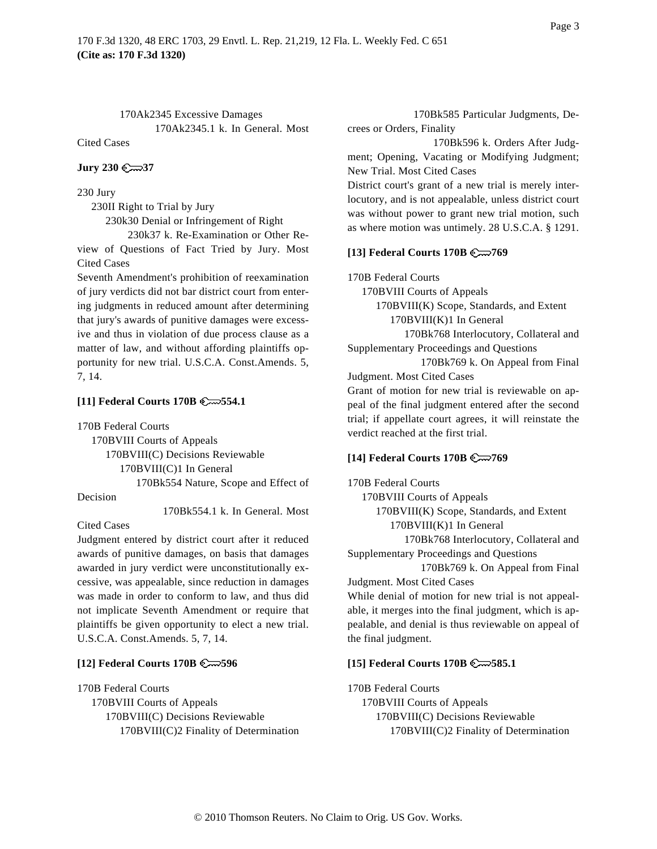170Ak2345 Excessive Damages 170Ak2345.1 k. In General. Most

Cited Cases

# **Jury 230 37**

# 230 Jury

230II Right to Trial by Jury 230k30 Denial or Infringement of Right

230k37 k. Re-Examination or Other Review of Questions of Fact Tried by Jury. Most Cited Cases

Seventh Amendment's prohibition of reexamination of jury verdicts did not bar district court from entering judgments in reduced amount after determining that jury's awards of punitive damages were excessive and thus in violation of due process clause as a matter of law, and without affording plaintiffs opportunity for new trial. U.S.C.A. Const.Amends. 5, 7, 14.

# **[11] Federal Courts 170B 554.1**

170B Federal Courts

170BVIII Courts of Appeals 170BVIII(C) Decisions Reviewable 170BVIII(C)1 In General 170Bk554 Nature, Scope and Effect of

Decision

170Bk554.1 k. In General. Most

Cited Cases

Judgment entered by district court after it reduced awards of punitive damages, on basis that damages awarded in jury verdict were unconstitutionally excessive, was appealable, since reduction in damages was made in order to conform to law, and thus did not implicate Seventh Amendment or require that plaintiffs be given opportunity to elect a new trial. U.S.C.A. Const.Amends. 5, 7, 14.

# **[12] Federal Courts 170B 596**

170B Federal Courts 170BVIII Courts of Appeals

170BVIII(C) Decisions Reviewable 170BVIII(C)2 Finality of Determination

170Bk585 Particular Judgments, Decrees or Orders, Finality

170Bk596 k. Orders After Judgment; Opening, Vacating or Modifying Judgment; New Trial. Most Cited Cases

District court's grant of a new trial is merely interlocutory, and is not appealable, unless district court was without power to grant new trial motion, such as where motion was untimely. 28 U.S.C.A. § 1291.

# **[13] Federal Courts 170B 769**

170B Federal Courts 170BVIII Courts of Appeals 170BVIII(K) Scope, Standards, and Extent 170BVIII(K)1 In General 170Bk768 Interlocutory, Collateral and Supplementary Proceedings and Questions 170Bk769 k. On Appeal from Final Judgment. Most Cited Cases Grant of motion for new trial is reviewable on appeal of the final judgment entered after the second trial; if appellate court agrees, it will reinstate the verdict reached at the first trial.

# **[14] Federal Courts 170B 769**

170B Federal Courts 170BVIII Courts of Appeals 170BVIII(K) Scope, Standards, and Extent 170BVIII(K)1 In General 170Bk768 Interlocutory, Collateral and Supplementary Proceedings and Questions

170Bk769 k. On Appeal from Final Judgment. Most Cited Cases

While denial of motion for new trial is not appealable, it merges into the final judgment, which is appealable, and denial is thus reviewable on appeal of the final judgment.

# **[15] Federal Courts 170B 585.1**

170B Federal Courts 170BVIII Courts of Appeals 170BVIII(C) Decisions Reviewable 170BVIII(C)2 Finality of Determination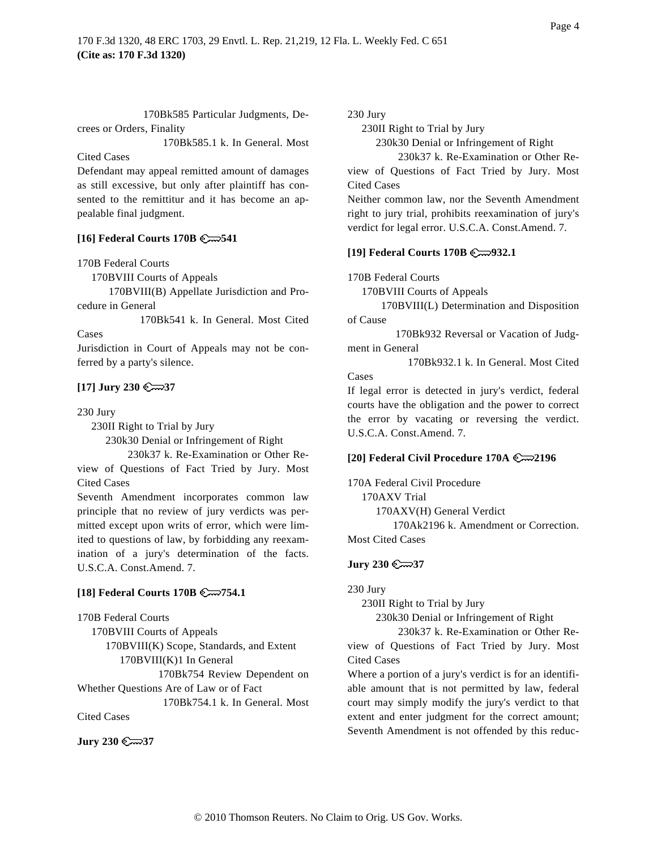170Bk585 Particular Judgments, Decrees or Orders, Finality

170Bk585.1 k. In General. Most

# Cited Cases

Defendant may appeal remitted amount of damages as still excessive, but only after plaintiff has consented to the remittitur and it has become an appealable final judgment.

#### **[16] Federal Courts 170B 541**

170B Federal Courts

170BVIII Courts of Appeals

170BVIII(B) Appellate Jurisdiction and Procedure in General

170Bk541 k. In General. Most Cited

Jurisdiction in Court of Appeals may not be conferred by a party's silence.

#### **[17] Jury 230 37**

230 Jury

Cases

230II Right to Trial by Jury

230k30 Denial or Infringement of Right

230k37 k. Re-Examination or Other Review of Questions of Fact Tried by Jury. Most Cited Cases

Seventh Amendment incorporates common law principle that no review of jury verdicts was permitted except upon writs of error, which were limited to questions of law, by forbidding any reexamination of a jury's determination of the facts. U.S.C.A. Const.Amend. 7.

#### **[18] Federal Courts 170B 754.1**

170B Federal Courts 170BVIII Courts of Appeals 170BVIII(K) Scope, Standards, and Extent 170BVIII(K)1 In General 170Bk754 Review Dependent on Whether Questions Are of Law or of Fact 170Bk754.1 k. In General. Most

Cited Cases

**Jury 230 37**

230 Jury

230II Right to Trial by Jury

230k30 Denial or Infringement of Right

230k37 k. Re-Examination or Other Review of Questions of Fact Tried by Jury. Most Cited Cases

Neither common law, nor the Seventh Amendment right to jury trial, prohibits reexamination of jury's verdict for legal error. U.S.C.A. Const.Amend. 7.

#### **[19] Federal Courts 170B 932.1**

170B Federal Courts

170BVIII Courts of Appeals

170BVIII(L) Determination and Disposition of Cause

170Bk932 Reversal or Vacation of Judgment in General

170Bk932.1 k. In General. Most Cited Cases

If legal error is detected in jury's verdict, federal courts have the obligation and the power to correct the error by vacating or reversing the verdict. U.S.C.A. Const.Amend. 7.

#### **[20] Federal Civil Procedure 170A 2196**

170A Federal Civil Procedure 170AXV Trial 170AXV(H) General Verdict 170Ak2196 k. Amendment or Correction. Most Cited Cases

#### **Jury 230 37**

230 Jury

230II Right to Trial by Jury

230k30 Denial or Infringement of Right

230k37 k. Re-Examination or Other Review of Questions of Fact Tried by Jury. Most Cited Cases

Where a portion of a jury's verdict is for an identifiable amount that is not permitted by law, federal court may simply modify the jury's verdict to that extent and enter judgment for the correct amount; Seventh Amendment is not offended by this reduc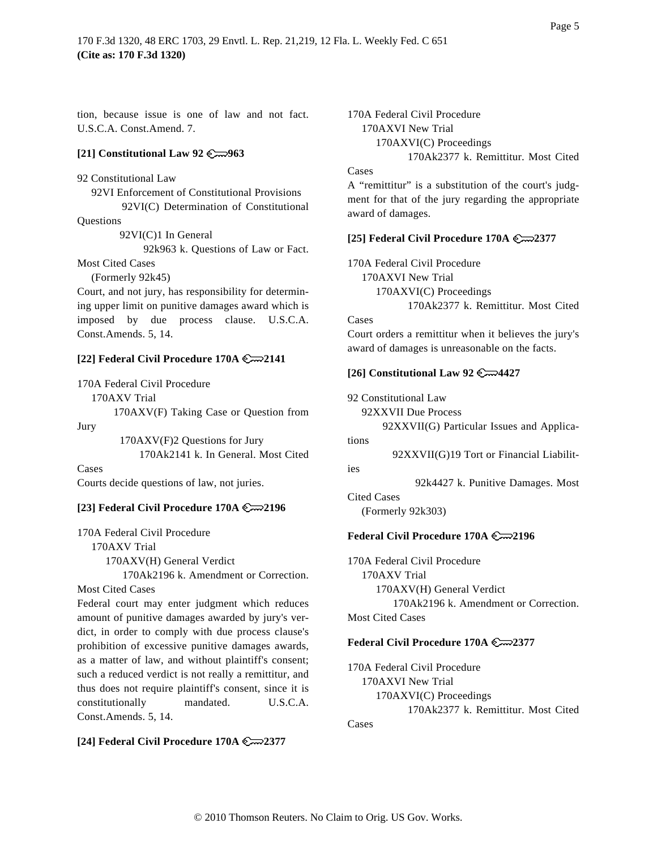tion, because issue is one of law and not fact. U.S.C.A. Const.Amend. 7.

# **[21] Constitutional Law 92 963**

92 Constitutional Law

92VI Enforcement of Constitutional Provisions 92VI(C) Determination of Constitutional

**Questions** 

92VI(C)1 In General 92k963 k. Questions of Law or Fact.

Most Cited Cases

(Formerly 92k45)

Court, and not jury, has responsibility for determining upper limit on punitive damages award which is imposed by due process clause. U.S.C.A. Const.Amends. 5, 14.

# **[22] Federal Civil Procedure 170A 2141**

170A Federal Civil Procedure 170AXV Trial 170AXV(F) Taking Case or Question from Jury 170AXV(F)2 Questions for Jury

170Ak2141 k. In General. Most Cited

Cases

Courts decide questions of law, not juries.

#### **[23] Federal Civil Procedure 170A 2196**

170A Federal Civil Procedure

170AXV Trial

170AXV(H) General Verdict

170Ak2196 k. Amendment or Correction.

Most Cited Cases

Federal court may enter judgment which reduces amount of punitive damages awarded by jury's verdict, in order to comply with due process clause's prohibition of excessive punitive damages awards, as a matter of law, and without plaintiff's consent; such a reduced verdict is not really a remittitur, and thus does not require plaintiff's consent, since it is constitutionally mandated. U.S.C.A. Const.Amends. 5, 14.

#### **[24] Federal Civil Procedure 170A 2377**

170A Federal Civil Procedure 170AXVI New Trial 170AXVI(C) Proceedings

170Ak2377 k. Remittitur. Most Cited

Cases

A "remittitur" is a substitution of the court's judgment for that of the jury regarding the appropriate award of damages.

#### **[25] Federal Civil Procedure 170A 2377**

170A Federal Civil Procedure 170AXVI New Trial 170AXVI(C) Proceedings 170Ak2377 k. Remittitur. Most Cited

Cases

Court orders a remittitur when it believes the jury's award of damages is unreasonable on the facts.

# **[26] Constitutional Law 92 4427**

92 Constitutional Law 92XXVII Due Process 92XXVII(G) Particular Issues and Applications 92XXVII(G)19 Tort or Financial Liabilities 92k4427 k. Punitive Damages. Most Cited Cases (Formerly 92k303)

# **Federal Civil Procedure 170A 2196**

170A Federal Civil Procedure 170AXV Trial 170AXV(H) General Verdict 170Ak2196 k. Amendment or Correction. Most Cited Cases

#### **Federal Civil Procedure 170A 2377**

170A Federal Civil Procedure 170AXVI New Trial 170AXVI(C) Proceedings 170Ak2377 k. Remittitur. Most Cited Cases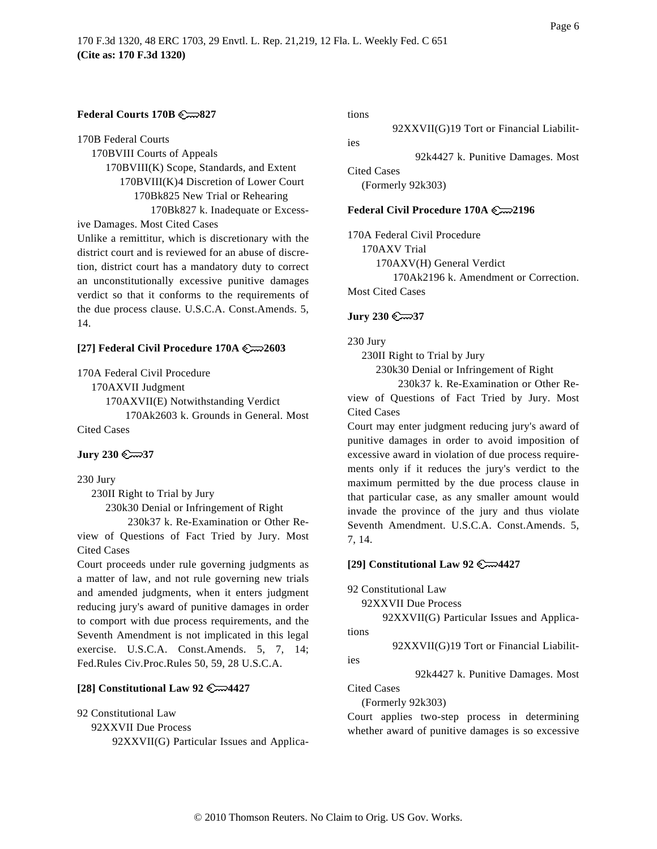#### **Federal Courts 170B 827**

170B Federal Courts

170BVIII Courts of Appeals 170BVIII(K) Scope, Standards, and Extent 170BVIII(K)4 Discretion of Lower Court 170Bk825 New Trial or Rehearing 170Bk827 k. Inadequate or Excessive Damages. Most Cited Cases

Unlike a remittitur, which is discretionary with the district court and is reviewed for an abuse of discretion, district court has a mandatory duty to correct an unconstitutionally excessive punitive damages verdict so that it conforms to the requirements of the due process clause. U.S.C.A. Const.Amends. 5, 14.

#### **[27] Federal Civil Procedure 170A 2603**

170A Federal Civil Procedure

170AXVII Judgment

170AXVII(E) Notwithstanding Verdict

170Ak2603 k. Grounds in General. Most Cited Cases

#### **Jury 230 37**

230 Jury

230II Right to Trial by Jury

230k30 Denial or Infringement of Right

230k37 k. Re-Examination or Other Review of Questions of Fact Tried by Jury. Most Cited Cases

Court proceeds under rule governing judgments as a matter of law, and not rule governing new trials and amended judgments, when it enters judgment reducing jury's award of punitive damages in order to comport with due process requirements, and the Seventh Amendment is not implicated in this legal exercise. U.S.C.A. Const.Amends. 5, 7, 14; Fed.Rules Civ.Proc.Rules 50, 59, 28 U.S.C.A.

# **[28] Constitutional Law 92 4427**

92 Constitutional Law

92XXVII Due Process

92XXVII(G) Particular Issues and Applica-

tions

ies

92XXVII(G)19 Tort or Financial Liabilit-

92k4427 k. Punitive Damages. Most

Cited Cases (Formerly 92k303)

#### **Federal Civil Procedure 170A 2196**

170A Federal Civil Procedure 170AXV Trial 170AXV(H) General Verdict 170Ak2196 k. Amendment or Correction.

Most Cited Cases

# **Jury 230 37**

230 Jury

230II Right to Trial by Jury

230k30 Denial or Infringement of Right

230k37 k. Re-Examination or Other Review of Questions of Fact Tried by Jury. Most Cited Cases

Court may enter judgment reducing jury's award of punitive damages in order to avoid imposition of excessive award in violation of due process requirements only if it reduces the jury's verdict to the maximum permitted by the due process clause in that particular case, as any smaller amount would invade the province of the jury and thus violate Seventh Amendment. U.S.C.A. Const.Amends. 5, 7, 14.

#### **[29] Constitutional Law 92 4427**

92 Constitutional Law

92XXVII Due Process

92XXVII(G) Particular Issues and Applications

92XXVII(G)19 Tort or Financial Liabilities

92k4427 k. Punitive Damages. Most

Cited Cases

(Formerly 92k303)

Court applies two-step process in determining whether award of punitive damages is so excessive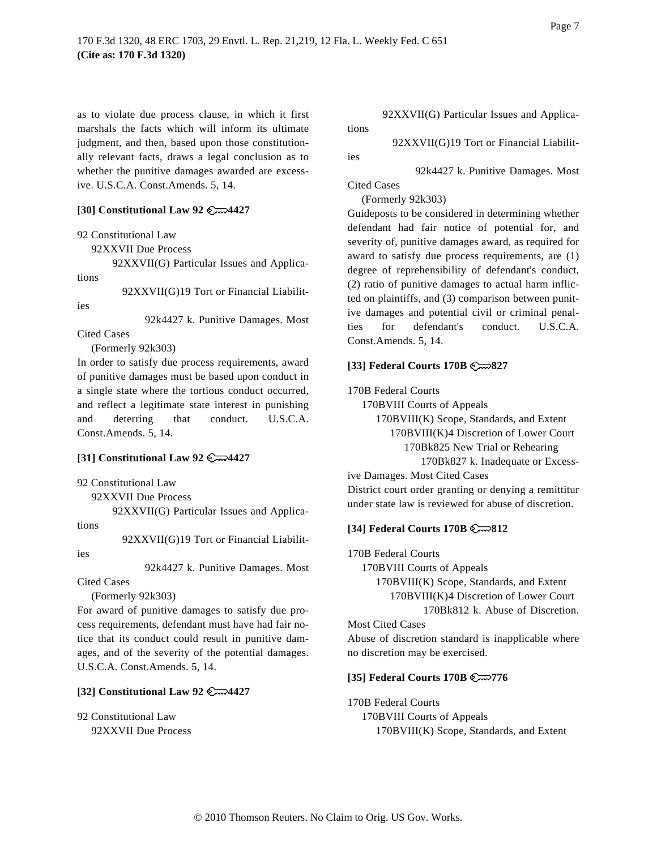as to violate due process clause, in which it first marshals the facts which will inform its ultimate judgment, and then, based upon those constitutionally relevant facts, draws a legal conclusion as to whether the punitive damages awarded are excessive. U.S.C.A. Const.Amends. 5, 14.

# **[30] Constitutional Law 92**  $\&$  **4427**

92 Constitutional Law

92XXVII Due Process

92XXVII(G) Particular Issues and Applica-

tions

ies

92XXVII(G)19 Tort or Financial Liabilit-

92k4427 k. Punitive Damages. Most

Cited Cases

(Formerly 92k303)

In order to satisfy due process requirements, award of punitive damages must be based upon conduct in a single state where the tortious conduct occurred, and reflect a legitimate state interest in punishing and deterring that conduct. U.S.C.A. Const.Amends. 5, 14.

# **[31] Constitutional Law 92 4427**

92 Constitutional Law

92XXVII Due Process

92XXVII(G) Particular Issues and Applica-

tions

92XXVII(G)19 Tort or Financial Liabilit-

ies

92k4427 k. Punitive Damages. Most

Cited Cases

(Formerly 92k303)

For award of punitive damages to satisfy due process requirements, defendant must have had fair notice that its conduct could result in punitive damages, and of the severity of the potential damages. U.S.C.A. Const.Amends. 5, 14.

# **[32] Constitutional Law 92 4427**

92 Constitutional Law 92XXVII Due Process

92XXVII(G) Particular Issues and Applications

92XXVII(G)19 Tort or Financial Liabilit-

ies

92k4427 k. Punitive Damages. Most Cited Cases

(Formerly 92k303)

Guideposts to be considered in determining whether defendant had fair notice of potential for, and severity of, punitive damages award, as required for award to satisfy due process requirements, are (1) degree of reprehensibility of defendant's conduct, (2) ratio of punitive damages to actual harm inflicted on plaintiffs, and (3) comparison between punitive damages and potential civil or criminal penalties for defendant's conduct. U.S.C.A. Const.Amends. 5, 14.

# **[33] Federal Courts 170B 827**

170B Federal Courts

170BVIII Courts of Appeals 170BVIII(K) Scope, Standards, and Extent 170BVIII(K)4 Discretion of Lower Court 170Bk825 New Trial or Rehearing 170Bk827 k. Inadequate or Excess-

ive Damages. Most Cited Cases

District court order granting or denying a remittitur under state law is reviewed for abuse of discretion.

# **[34] Federal Courts 170B 812**

170B Federal Courts 170BVIII Courts of Appeals 170BVIII(K) Scope, Standards, and Extent 170BVIII(K)4 Discretion of Lower Court 170Bk812 k. Abuse of Discretion.

Most Cited Cases

Abuse of discretion standard is inapplicable where no discretion may be exercised.

# **[35] Federal Courts 170B 776**

170B Federal Courts 170BVIII Courts of Appeals 170BVIII(K) Scope, Standards, and Extent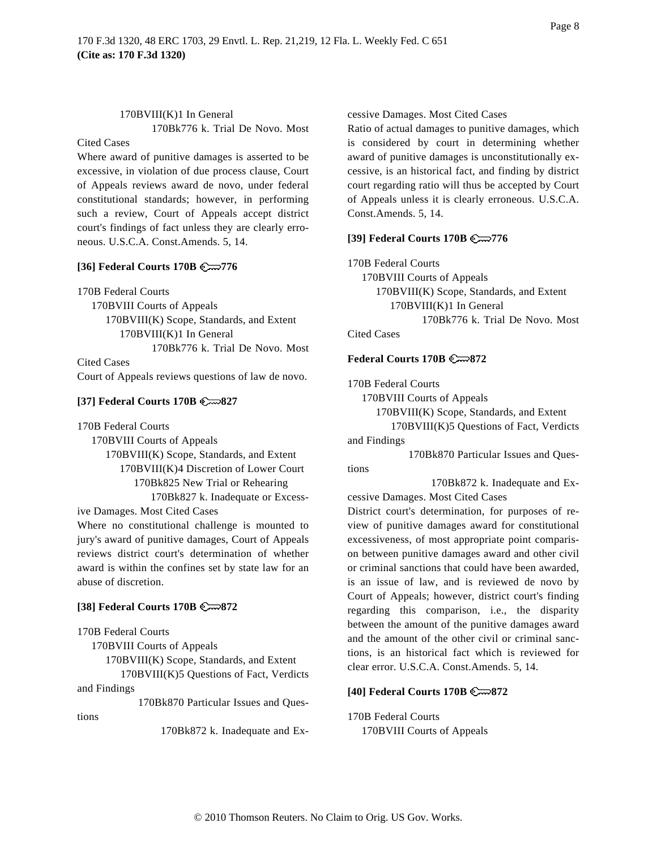# 170BVIII(K)1 In General 170Bk776 k. Trial De Novo. Most

# Cited Cases

Where award of punitive damages is asserted to be excessive, in violation of due process clause, Court of Appeals reviews award de novo, under federal constitutional standards; however, in performing such a review, Court of Appeals accept district court's findings of fact unless they are clearly erroneous. U.S.C.A. Const.Amends. 5, 14.

# **[36] Federal Courts 170B 776**

170B Federal Courts 170BVIII Courts of Appeals

170BVIII(K) Scope, Standards, and Extent 170BVIII(K)1 In General

170Bk776 k. Trial De Novo. Most Cited Cases

Court of Appeals reviews questions of law de novo.

#### **[37] Federal Courts 170B 827**

170B Federal Courts

170BVIII Courts of Appeals 170BVIII(K) Scope, Standards, and Extent 170BVIII(K)4 Discretion of Lower Court 170Bk825 New Trial or Rehearing 170Bk827 k. Inadequate or Excessive Damages. Most Cited Cases

Where no constitutional challenge is mounted to jury's award of punitive damages, Court of Appeals reviews district court's determination of whether award is within the confines set by state law for an abuse of discretion.

# **[38] Federal Courts 170B 872**

170B Federal Courts

170BVIII Courts of Appeals

170BVIII(K) Scope, Standards, and Extent

170BVIII(K)5 Questions of Fact, Verdicts and Findings

170Bk870 Particular Issues and Ques-

tions

170Bk872 k. Inadequate and Ex-

cessive Damages. Most Cited Cases

Ratio of actual damages to punitive damages, which is considered by court in determining whether award of punitive damages is unconstitutionally excessive, is an historical fact, and finding by district court regarding ratio will thus be accepted by Court of Appeals unless it is clearly erroneous. U.S.C.A. Const.Amends. 5, 14.

#### **[39] Federal Courts 170B 776**

170B Federal Courts 170BVIII Courts of Appeals 170BVIII(K) Scope, Standards, and Extent 170BVIII(K)1 In General 170Bk776 k. Trial De Novo. Most Cited Cases

# **Federal Courts 170B 872**

170B Federal Courts 170BVIII Courts of Appeals 170BVIII(K) Scope, Standards, and Extent 170BVIII(K)5 Questions of Fact, Verdicts and Findings 170Bk870 Particular Issues and Questions 170Bk872 k. Inadequate and Ex-

cessive Damages. Most Cited Cases

District court's determination, for purposes of review of punitive damages award for constitutional excessiveness, of most appropriate point comparison between punitive damages award and other civil or criminal sanctions that could have been awarded, is an issue of law, and is reviewed de novo by Court of Appeals; however, district court's finding regarding this comparison, i.e., the disparity between the amount of the punitive damages award and the amount of the other civil or criminal sanctions, is an historical fact which is reviewed for clear error. U.S.C.A. Const.Amends. 5, 14.

#### **[40] Federal Courts 170B 872**

170B Federal Courts 170BVIII Courts of Appeals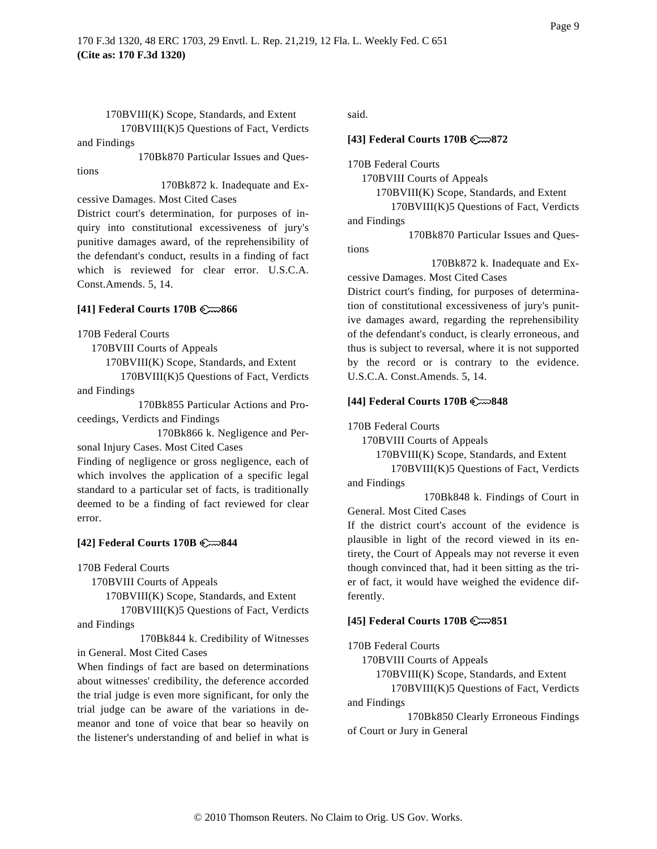170BVIII(K) Scope, Standards, and Extent 170BVIII(K)5 Questions of Fact, Verdicts

and Findings

170Bk870 Particular Issues and Ques-

tions

170Bk872 k. Inadequate and Excessive Damages. Most Cited Cases

District court's determination, for purposes of inquiry into constitutional excessiveness of jury's punitive damages award, of the reprehensibility of the defendant's conduct, results in a finding of fact which is reviewed for clear error. U.S.C.A. Const.Amends. 5, 14.

#### **[41] Federal Courts 170B 866**

170B Federal Courts

170BVIII Courts of Appeals

170BVIII(K) Scope, Standards, and Extent

170BVIII(K)5 Questions of Fact, Verdicts and Findings

170Bk855 Particular Actions and Proceedings, Verdicts and Findings

170Bk866 k. Negligence and Personal Injury Cases. Most Cited Cases

Finding of negligence or gross negligence, each of which involves the application of a specific legal standard to a particular set of facts, is traditionally deemed to be a finding of fact reviewed for clear error.

#### **[42] Federal Courts 170B 844**

170B Federal Courts

170BVIII Courts of Appeals

170BVIII(K) Scope, Standards, and Extent

170BVIII(K)5 Questions of Fact, Verdicts and Findings

170Bk844 k. Credibility of Witnesses in General. Most Cited Cases

When findings of fact are based on determinations about witnesses' credibility, the deference accorded the trial judge is even more significant, for only the trial judge can be aware of the variations in demeanor and tone of voice that bear so heavily on the listener's understanding of and belief in what is said.

#### **[43] Federal Courts 170B 872**

170B Federal Courts

170BVIII Courts of Appeals

170BVIII(K) Scope, Standards, and Extent

170BVIII(K)5 Questions of Fact, Verdicts and Findings

170Bk870 Particular Issues and Questions

170Bk872 k. Inadequate and Excessive Damages. Most Cited Cases

District court's finding, for purposes of determination of constitutional excessiveness of jury's punitive damages award, regarding the reprehensibility of the defendant's conduct, is clearly erroneous, and thus is subject to reversal, where it is not supported by the record or is contrary to the evidence. U.S.C.A. Const.Amends. 5, 14.

#### **[44] Federal Courts 170B 848**

170B Federal Courts

170BVIII Courts of Appeals

170BVIII(K) Scope, Standards, and Extent

170BVIII(K)5 Questions of Fact, Verdicts and Findings

170Bk848 k. Findings of Court in General. Most Cited Cases

If the district court's account of the evidence is plausible in light of the record viewed in its entirety, the Court of Appeals may not reverse it even though convinced that, had it been sitting as the trier of fact, it would have weighed the evidence differently.

#### **[45] Federal Courts 170B 851**

170B Federal Courts

170BVIII Courts of Appeals

170BVIII(K) Scope, Standards, and Extent

170BVIII(K)5 Questions of Fact, Verdicts and Findings

170Bk850 Clearly Erroneous Findings of Court or Jury in General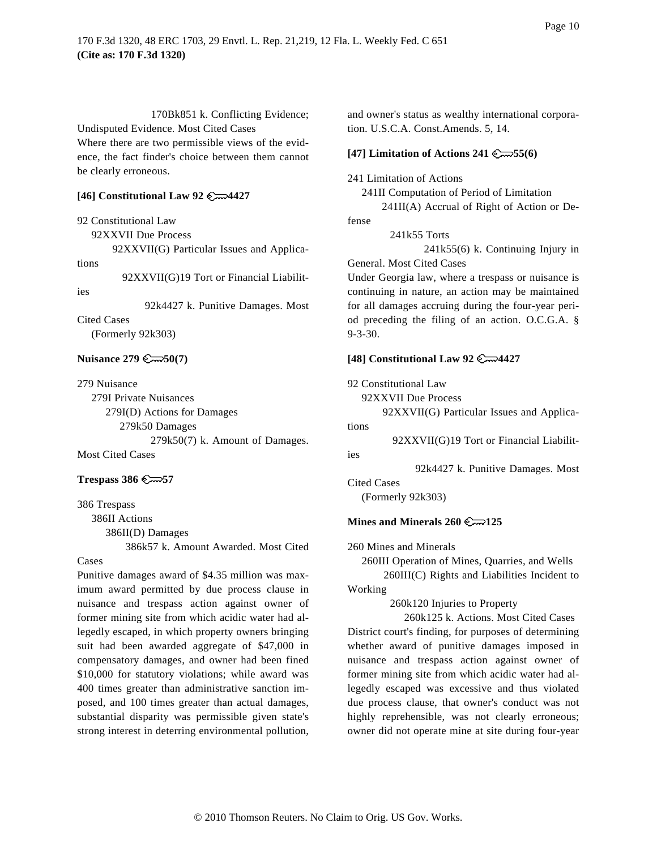170Bk851 k. Conflicting Evidence; Undisputed Evidence. Most Cited Cases Where there are two permissible views of the evidence, the fact finder's choice between them cannot be clearly erroneous.

# **[46] Constitutional Law 92 4427**

92 Constitutional Law

92XXVII Due Process

92XXVII(G) Particular Issues and Applica-

tions

ies

92XXVII(G)19 Tort or Financial Liabilit-

92k4427 k. Punitive Damages. Most

Cited Cases

(Formerly 92k303)

# **Nuisance 279 50(7)**

279 Nuisance 279I Private Nuisances 279I(D) Actions for Damages 279k50 Damages 279k50(7) k. Amount of Damages. Most Cited Cases

# **Trespass 386 57**

386 Trespass

Cases

386II Actions

386II(D) Damages

386k57 k. Amount Awarded. Most Cited

Punitive damages award of \$4.35 million was maximum award permitted by due process clause in nuisance and trespass action against owner of former mining site from which acidic water had allegedly escaped, in which property owners bringing suit had been awarded aggregate of \$47,000 in compensatory damages, and owner had been fined \$10,000 for statutory violations; while award was 400 times greater than administrative sanction imposed, and 100 times greater than actual damages, substantial disparity was permissible given state's strong interest in deterring environmental pollution, and owner's status as wealthy international corporation. U.S.C.A. Const.Amends. 5, 14.

# **[47] Limitation of Actions 241 55(6)**

241 Limitation of Actions

241II Computation of Period of Limitation

241II(A) Accrual of Right of Action or Defense

241k55 Torts

241k55(6) k. Continuing Injury in General. Most Cited Cases

Under Georgia law, where a trespass or nuisance is continuing in nature, an action may be maintained for all damages accruing during the four-year period preceding the filing of an action. O.C.G.A. § 9-3-30.

# **[48] Constitutional Law 92 4427**

92 Constitutional Law 92XXVII Due Process 92XXVII(G) Particular Issues and Applications 92XXVII(G)19 Tort or Financial Liabilities 92k4427 k. Punitive Damages. Most Cited Cases (Formerly 92k303) **Mines and Minerals 260**  $\approx 125$ 

260 Mines and Minerals

260III Operation of Mines, Quarries, and Wells

260III(C) Rights and Liabilities Incident to Working

260k120 Injuries to Property

260k125 k. Actions. Most Cited Cases District court's finding, for purposes of determining whether award of punitive damages imposed in nuisance and trespass action against owner of former mining site from which acidic water had allegedly escaped was excessive and thus violated due process clause, that owner's conduct was not highly reprehensible, was not clearly erroneous; owner did not operate mine at site during four-year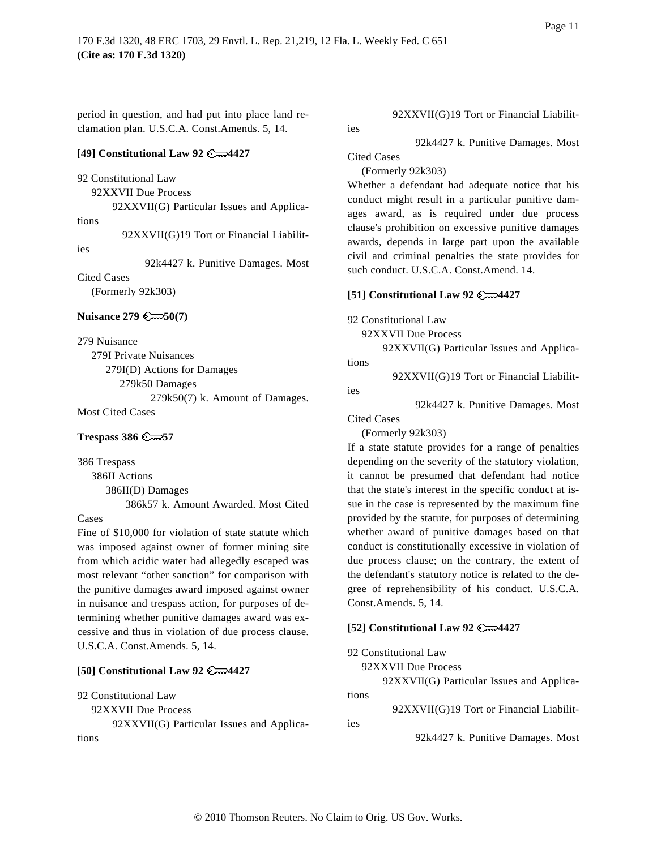period in question, and had put into place land reclamation plan. U.S.C.A. Const.Amends. 5, 14.

# **[49] Constitutional Law 92 4427**

92 Constitutional Law

92XXVII Due Process

92XXVII(G) Particular Issues and Applica-

tions

ies

92XXVII(G)19 Tort or Financial Liabilit-

92k4427 k. Punitive Damages. Most

Cited Cases (Formerly 92k303)

#### **Nuisance 279 50(7)**

279 Nuisance

279I Private Nuisances 279I(D) Actions for Damages 279k50 Damages 279k50(7) k. Amount of Damages. Most Cited Cases

#### **Trespass 386 57**

386 Trespass

386II Actions 386II(D) Damages

386k57 k. Amount Awarded. Most Cited

#### Cases

Fine of \$10,000 for violation of state statute which was imposed against owner of former mining site from which acidic water had allegedly escaped was most relevant "other sanction" for comparison with the punitive damages award imposed against owner in nuisance and trespass action, for purposes of determining whether punitive damages award was excessive and thus in violation of due process clause. U.S.C.A. Const.Amends. 5, 14.

# **[50] Constitutional Law 92 4427**

92 Constitutional Law

92XXVII Due Process

92XXVII(G) Particular Issues and Applica-

tions

92XXVII(G)19 Tort or Financial Liabilit-

92k4427 k. Punitive Damages. Most

Cited Cases (Formerly 92k303)

ies

Whether a defendant had adequate notice that his conduct might result in a particular punitive damages award, as is required under due process clause's prohibition on excessive punitive damages awards, depends in large part upon the available civil and criminal penalties the state provides for such conduct. U.S.C.A. Const.Amend. 14.

### **[51] Constitutional Law 92 4427**

92 Constitutional Law

92XXVII Due Process

92XXVII(G) Particular Issues and Applica-

92XXVII(G)19 Tort or Financial Liabilit-

92k4427 k. Punitive Damages. Most

Cited Cases

tions

ies

(Formerly 92k303)

If a state statute provides for a range of penalties depending on the severity of the statutory violation, it cannot be presumed that defendant had notice that the state's interest in the specific conduct at issue in the case is represented by the maximum fine provided by the statute, for purposes of determining whether award of punitive damages based on that conduct is constitutionally excessive in violation of due process clause; on the contrary, the extent of the defendant's statutory notice is related to the degree of reprehensibility of his conduct. U.S.C.A. Const.Amends. 5, 14.

#### **[52] Constitutional Law 92 4427**

92 Constitutional Law

92XXVII Due Process

92XXVII(G) Particular Issues and Applications

92XXVII(G)19 Tort or Financial Liabilit-

92k4427 k. Punitive Damages. Most

ies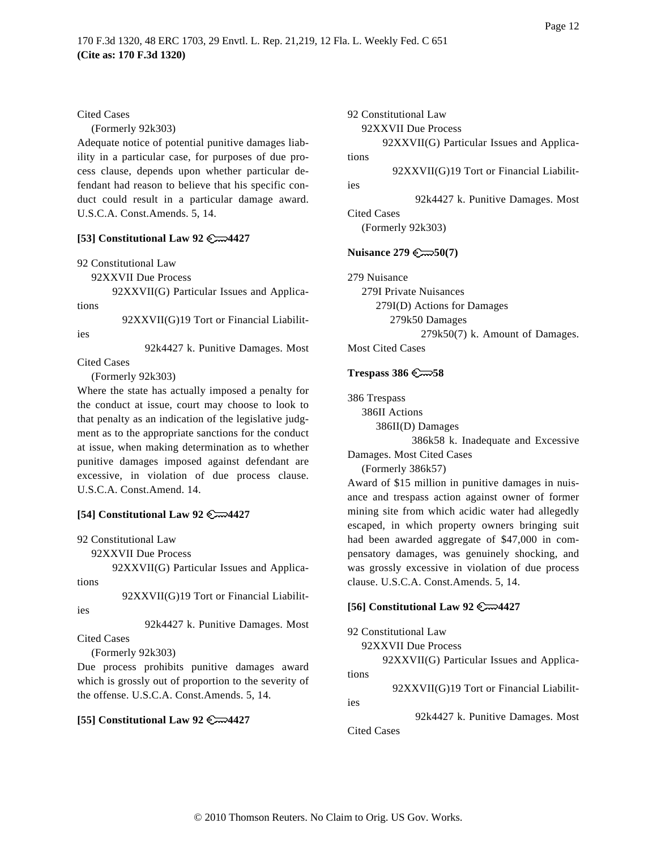#### Cited Cases

(Formerly 92k303)

Adequate notice of potential punitive damages liability in a particular case, for purposes of due process clause, depends upon whether particular defendant had reason to believe that his specific conduct could result in a particular damage award. U.S.C.A. Const.Amends. 5, 14.

#### **[53] Constitutional Law 92 4427**

92 Constitutional Law

92XXVII Due Process

92XXVII(G) Particular Issues and Applica-

tions

ies

92XXVII(G)19 Tort or Financial Liabilit-

92k4427 k. Punitive Damages. Most Cited Cases

(Formerly 92k303)

Where the state has actually imposed a penalty for the conduct at issue, court may choose to look to that penalty as an indication of the legislative judgment as to the appropriate sanctions for the conduct at issue, when making determination as to whether punitive damages imposed against defendant are excessive, in violation of due process clause. U.S.C.A. Const.Amend. 14.

#### **[54] Constitutional Law 92 4427**

92 Constitutional Law

92XXVII Due Process

92XXVII(G) Particular Issues and Applica-

tions

92XXVII(G)19 Tort or Financial Liabilit-

ies

92k4427 k. Punitive Damages. Most

Cited Cases

(Formerly 92k303)

Due process prohibits punitive damages award which is grossly out of proportion to the severity of the offense. U.S.C.A. Const.Amends. 5, 14.

#### **[55] Constitutional Law 92 4427**

92 Constitutional Law 92XXVII Due Process 92XXVII(G) Particular Issues and Applications 92XXVII(G)19 Tort or Financial Liabilities 92k4427 k. Punitive Damages. Most Cited Cases (Formerly 92k303) **Nuisance 279 50(7)**

279 Nuisance 279I Private Nuisances 279I(D) Actions for Damages 279k50 Damages 279k50(7) k. Amount of Damages.

Most Cited Cases

### **Trespass 386 58**

386 Trespass 386II Actions 386II(D) Damages 386k58 k. Inadequate and Excessive Damages. Most Cited Cases

(Formerly 386k57)

Award of \$15 million in punitive damages in nuisance and trespass action against owner of former mining site from which acidic water had allegedly escaped, in which property owners bringing suit had been awarded aggregate of \$47,000 in compensatory damages, was genuinely shocking, and was grossly excessive in violation of due process clause. U.S.C.A. Const.Amends. 5, 14.

#### **[56] Constitutional Law 92 4427**

92 Constitutional Law

92XXVII Due Process

92XXVII(G) Particular Issues and Applications

92XXVII(G)19 Tort or Financial Liabilit-

ies

92k4427 k. Punitive Damages. Most

Cited Cases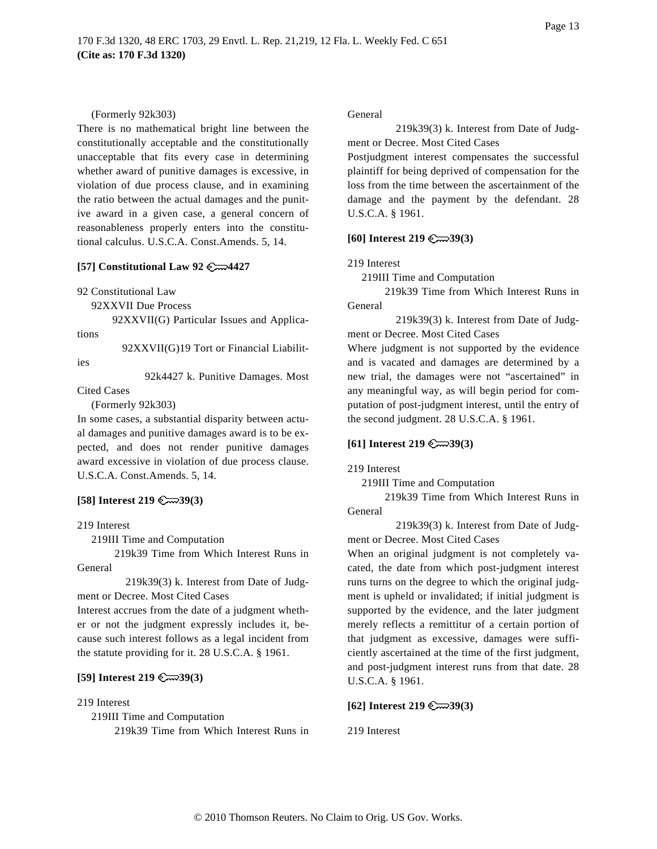#### (Formerly 92k303)

There is no mathematical bright line between the constitutionally acceptable and the constitutionally unacceptable that fits every case in determining whether award of punitive damages is excessive, in violation of due process clause, and in examining the ratio between the actual damages and the punitive award in a given case, a general concern of reasonableness properly enters into the constitutional calculus. U.S.C.A. Const.Amends. 5, 14.

# **[57] Constitutional Law 92**  $\approx$  **4427**

92 Constitutional Law

92XXVII Due Process

92XXVII(G) Particular Issues and Applica-

tions ies

92XXVII(G)19 Tort or Financial Liabilit-

92k4427 k. Punitive Damages. Most

Cited Cases (Formerly 92k303)

In some cases, a substantial disparity between actual damages and punitive damages award is to be expected, and does not render punitive damages award excessive in violation of due process clause. U.S.C.A. Const.Amends. 5, 14.

#### **[58] Interest 219 39(3)**

219 Interest

219III Time and Computation

219k39 Time from Which Interest Runs in General

219k39(3) k. Interest from Date of Judgment or Decree. Most Cited Cases

Interest accrues from the date of a judgment whether or not the judgment expressly includes it, because such interest follows as a legal incident from the statute providing for it. 28 U.S.C.A. § 1961.

# **[59] Interest 219 39(3)**

# 219 Interest

219III Time and Computation 219k39 Time from Which Interest Runs in General

219k39(3) k. Interest from Date of Judgment or Decree. Most Cited Cases

Postjudgment interest compensates the successful plaintiff for being deprived of compensation for the loss from the time between the ascertainment of the damage and the payment by the defendant. 28 U.S.C.A. § 1961.

#### **[60] Interest 219 39(3)**

219 Interest

219III Time and Computation

219k39 Time from Which Interest Runs in General

219k39(3) k. Interest from Date of Judgment or Decree. Most Cited Cases

Where judgment is not supported by the evidence and is vacated and damages are determined by a new trial, the damages were not "ascertained" in any meaningful way, as will begin period for computation of post-judgment interest, until the entry of the second judgment. 28 U.S.C.A. § 1961.

#### **[61] Interest 219 39(3)**

219 Interest

219III Time and Computation

219k39 Time from Which Interest Runs in General

219k39(3) k. Interest from Date of Judgment or Decree. Most Cited Cases

When an original judgment is not completely vacated, the date from which post-judgment interest runs turns on the degree to which the original judgment is upheld or invalidated; if initial judgment is supported by the evidence, and the later judgment merely reflects a remittitur of a certain portion of that judgment as excessive, damages were sufficiently ascertained at the time of the first judgment, and post-judgment interest runs from that date. 28 U.S.C.A. § 1961.

#### **[62] Interest 219 39(3)**

219 Interest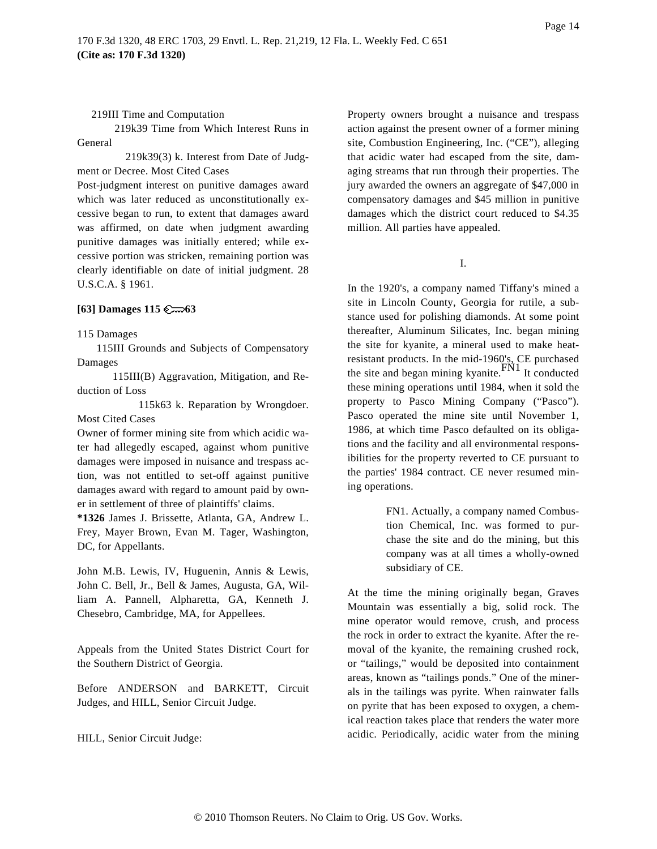219III Time and Computation

219k39 Time from Which Interest Runs in General

219k39(3) k. Interest from Date of Judgment or Decree. Most Cited Cases

Post-judgment interest on punitive damages award which was later reduced as unconstitutionally excessive began to run, to extent that damages award was affirmed, on date when judgment awarding punitive damages was initially entered; while excessive portion was stricken, remaining portion was clearly identifiable on date of initial judgment. 28 U.S.C.A. § 1961.

# **[63] Damages 115 63**

115 Damages

115III Grounds and Subjects of Compensatory Damages

115III(B) Aggravation, Mitigation, and Reduction of Loss

115k63 k. Reparation by Wrongdoer. Most Cited Cases

Owner of former mining site from which acidic water had allegedly escaped, against whom punitive damages were imposed in nuisance and trespass action, was not entitled to set-off against punitive damages award with regard to amount paid by owner in settlement of three of plaintiffs' claims.

**\*1326** James J. Brissette, Atlanta, GA, Andrew L. Frey, Mayer Brown, Evan M. Tager, Washington, DC, for Appellants.

John M.B. Lewis, IV, Huguenin, Annis & Lewis, John C. Bell, Jr., Bell & James, Augusta, GA, William A. Pannell, Alpharetta, GA, Kenneth J. Chesebro, Cambridge, MA, for Appellees.

Appeals from the United States District Court for the Southern District of Georgia.

Before ANDERSON and BARKETT, Circuit Judges, and HILL, Senior Circuit Judge.

HILL, Senior Circuit Judge:

Property owners brought a nuisance and trespass action against the present owner of a former mining site, Combustion Engineering, Inc. ("CE"), alleging that acidic water had escaped from the site, damaging streams that run through their properties. The jury awarded the owners an aggregate of \$47,000 in compensatory damages and \$45 million in punitive damages which the district court reduced to \$4.35 million. All parties have appealed.

I.

In the 1920's, a company named Tiffany's mined a site in Lincoln County, Georgia for rutile, a substance used for polishing diamonds. At some point thereafter, Aluminum Silicates, Inc. began mining the site for kyanite, a mineral used to make heatresistant products. In the mid-1960's, CE purchased the site and began mining kyanite. $\frac{1}{1}$  It conducted these mining operations until 1984, when it sold the property to Pasco Mining Company ("Pasco"). Pasco operated the mine site until November 1, 1986, at which time Pasco defaulted on its obligations and the facility and all environmental responsibilities for the property reverted to CE pursuant to the parties' 1984 contract. CE never resumed mining operations.

> FN1. Actually, a company named Combustion Chemical, Inc. was formed to purchase the site and do the mining, but this company was at all times a wholly-owned subsidiary of CE.

At the time the mining originally began, Graves Mountain was essentially a big, solid rock. The mine operator would remove, crush, and process the rock in order to extract the kyanite. After the removal of the kyanite, the remaining crushed rock, or "tailings," would be deposited into containment areas, known as "tailings ponds." One of the minerals in the tailings was pyrite. When rainwater falls on pyrite that has been exposed to oxygen, a chemical reaction takes place that renders the water more acidic. Periodically, acidic water from the mining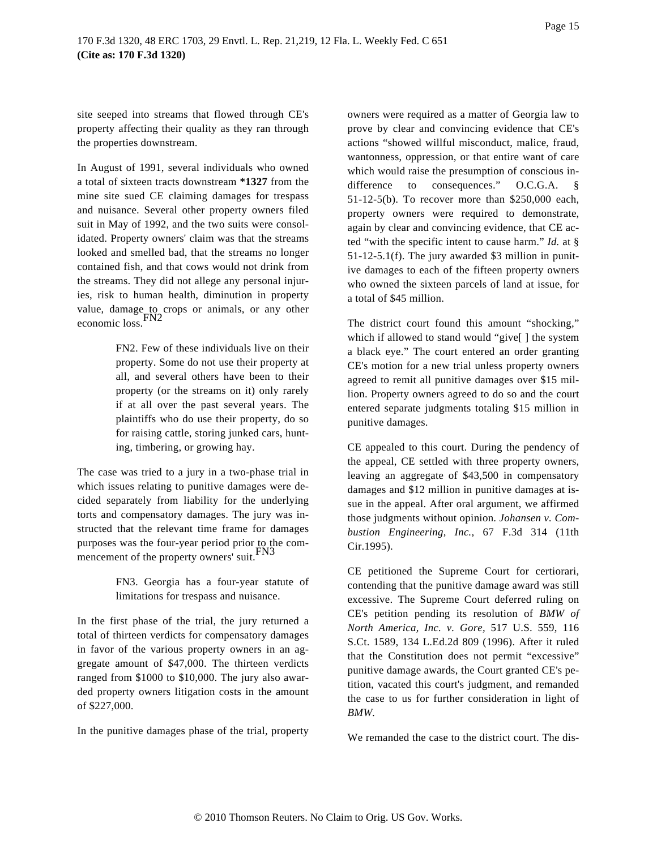site seeped into streams that flowed through CE's property affecting their quality as they ran through the properties downstream.

In August of 1991, several individuals who owned a total of sixteen tracts downstream **\*1327** from the mine site sued CE claiming damages for trespass and nuisance. Several other property owners filed suit in May of 1992, and the two suits were consolidated. Property owners' claim was that the streams looked and smelled bad, that the streams no longer contained fish, and that cows would not drink from the streams. They did not allege any personal injuries, risk to human health, diminution in property value, damage to crops or animals, or any other economic loss.FN2

> FN2. Few of these individuals live on their property. Some do not use their property at all, and several others have been to their property (or the streams on it) only rarely if at all over the past several years. The plaintiffs who do use their property, do so for raising cattle, storing junked cars, hunting, timbering, or growing hay.

The case was tried to a jury in a two-phase trial in which issues relating to punitive damages were decided separately from liability for the underlying torts and compensatory damages. The jury was instructed that the relevant time frame for damages purposes was the four-year period prior to the commencement of the property owners' suit.<sup>FN3</sup>

> FN3. Georgia has a four-year statute of limitations for trespass and nuisance.

In the first phase of the trial, the jury returned a total of thirteen verdicts for compensatory damages in favor of the various property owners in an aggregate amount of \$47,000. The thirteen verdicts ranged from \$1000 to \$10,000. The jury also awarded property owners litigation costs in the amount of \$227,000.

In the punitive damages phase of the trial, property

owners were required as a matter of Georgia law to prove by clear and convincing evidence that CE's actions "showed willful misconduct, malice, fraud, wantonness, oppression, or that entire want of care which would raise the presumption of conscious indifference to consequences." O.C.G.A. § 51-12-5(b). To recover more than \$250,000 each, property owners were required to demonstrate, again by clear and convincing evidence, that CE acted "with the specific intent to cause harm." *Id.* at § 51-12-5.1(f). The jury awarded \$3 million in punitive damages to each of the fifteen property owners who owned the sixteen parcels of land at issue, for a total of \$45 million.

The district court found this amount "shocking," which if allowed to stand would "give[] the system a black eye." The court entered an order granting CE's motion for a new trial unless property owners agreed to remit all punitive damages over \$15 million. Property owners agreed to do so and the court entered separate judgments totaling \$15 million in punitive damages.

CE appealed to this court. During the pendency of the appeal, CE settled with three property owners, leaving an aggregate of \$43,500 in compensatory damages and \$12 million in punitive damages at issue in the appeal. After oral argument, we affirmed those judgments without opinion. *Johansen v. Combustion Engineering, Inc.,* 67 F.3d 314 (11th Cir.1995).

CE petitioned the Supreme Court for certiorari, contending that the punitive damage award was still excessive. The Supreme Court deferred ruling on CE's petition pending its resolution of *BMW of North America, Inc. v. Gore,* 517 U.S. 559, 116 S.Ct. 1589, 134 L.Ed.2d 809 (1996). After it ruled that the Constitution does not permit "excessive" punitive damage awards, the Court granted CE's petition, vacated this court's judgment, and remanded the case to us for further consideration in light of *BMW.*

We remanded the case to the district court. The dis-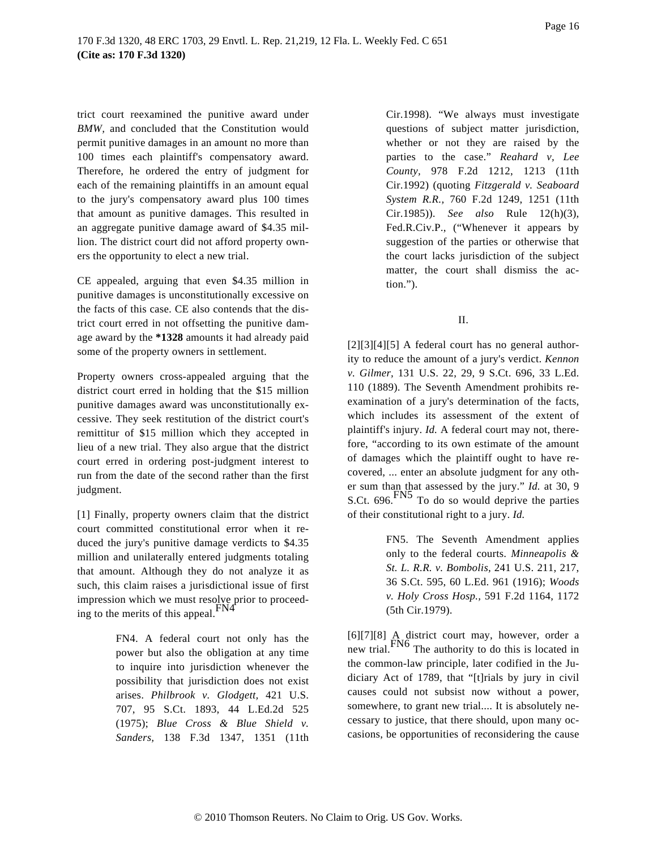trict court reexamined the punitive award under *BMW,* and concluded that the Constitution would permit punitive damages in an amount no more than 100 times each plaintiff's compensatory award. Therefore, he ordered the entry of judgment for each of the remaining plaintiffs in an amount equal to the jury's compensatory award plus 100 times that amount as punitive damages. This resulted in an aggregate punitive damage award of \$4.35 million. The district court did not afford property owners the opportunity to elect a new trial.

CE appealed, arguing that even \$4.35 million in punitive damages is unconstitutionally excessive on the facts of this case. CE also contends that the district court erred in not offsetting the punitive damage award by the **\*1328** amounts it had already paid some of the property owners in settlement.

Property owners cross-appealed arguing that the district court erred in holding that the \$15 million punitive damages award was unconstitutionally excessive. They seek restitution of the district court's remittitur of \$15 million which they accepted in lieu of a new trial. They also argue that the district court erred in ordering post-judgment interest to run from the date of the second rather than the first judgment.

[1] Finally, property owners claim that the district court committed constitutional error when it reduced the jury's punitive damage verdicts to \$4.35 million and unilaterally entered judgments totaling that amount. Although they do not analyze it as such, this claim raises a jurisdictional issue of first impression which we must resolve prior to proceed-<br>ing to the merits of this appeal. FN4

> FN4. A federal court not only has the power but also the obligation at any time to inquire into jurisdiction whenever the possibility that jurisdiction does not exist arises. *Philbrook v. Glodgett,* 421 U.S. 707, 95 S.Ct. 1893, 44 L.Ed.2d 525 (1975); *Blue Cross & Blue Shield v. Sanders,* 138 F.3d 1347, 1351 (11th

Cir.1998). "We always must investigate questions of subject matter jurisdiction, whether or not they are raised by the parties to the case." *Reahard v, Lee County,* 978 F.2d 1212, 1213 (11th Cir.1992) (quoting *Fitzgerald v. Seaboard System R.R.,* 760 F.2d 1249, 1251 (11th Cir.1985)). *See also* Rule 12(h)(3), Fed.R.Civ.P., ("Whenever it appears by suggestion of the parties or otherwise that the court lacks jurisdiction of the subject matter, the court shall dismiss the action.").

# II.

[2][3][4][5] A federal court has no general authority to reduce the amount of a jury's verdict. *Kennon v. Gilmer,* 131 U.S. 22, 29, 9 S.Ct. 696, 33 L.Ed. 110 (1889). The Seventh Amendment prohibits reexamination of a jury's determination of the facts, which includes its assessment of the extent of plaintiff's injury. *Id.* A federal court may not, therefore, "according to its own estimate of the amount of damages which the plaintiff ought to have recovered, ... enter an absolute judgment for any other sum than that assessed by the jury." *Id.* at 30, 9 S.Ct. 696. FN5 To do so would deprive the parties of their constitutional right to a jury. *Id.*

> FN5. The Seventh Amendment applies only to the federal courts. *Minneapolis & St. L. R.R. v. Bombolis,* 241 U.S. 211, 217, 36 S.Ct. 595, 60 L.Ed. 961 (1916); *Woods v. Holy Cross Hosp.,* 591 F.2d 1164, 1172 (5th Cir.1979).

[6][7][8]  $\hat{A}$ , district court may, however, order a new trial. FN6 The authority to do this is located in the common-law principle, later codified in the Judiciary Act of 1789, that "[t]rials by jury in civil causes could not subsist now without a power, somewhere, to grant new trial.... It is absolutely necessary to justice, that there should, upon many occasions, be opportunities of reconsidering the cause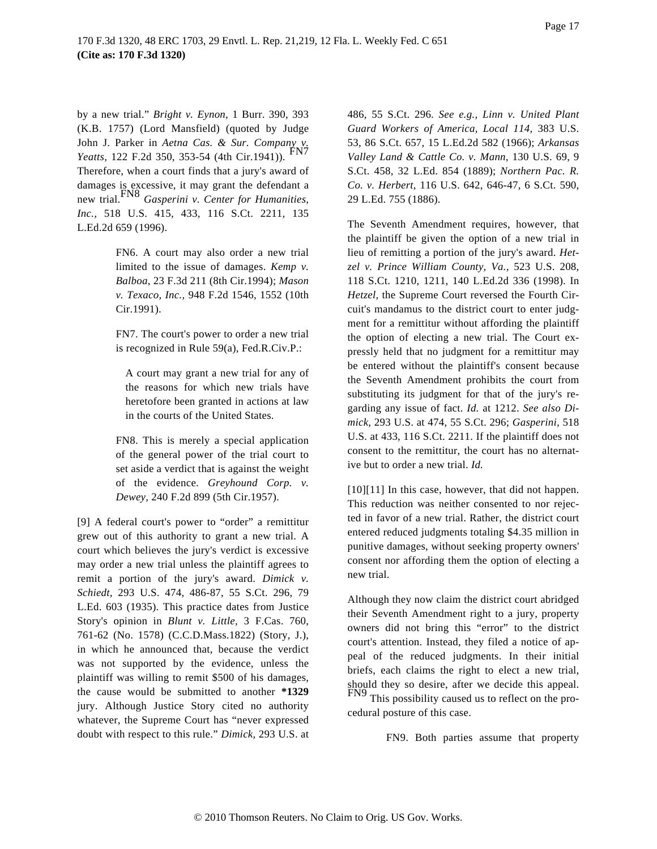by a new trial." *Bright v. Eynon,* 1 Burr. 390, 393 (K.B. 1757) (Lord Mansfield) (quoted by Judge John J. Parker in *Aetna Cas. & Sur. Company v. Yeatts*, 122 F.2d 350, 353-54 (4th Cir.1941)). Therefore, when a court finds that a jury's award of damages is excessive, it may grant the defendant a new trial.FN8 *Gasperini v. Center for Humanities, Inc.,* 518 U.S. 415, 433, 116 S.Ct. 2211, 135 L.Ed.2d 659 (1996).

> FN6. A court may also order a new trial limited to the issue of damages. *Kemp v. Balboa,* 23 F.3d 211 (8th Cir.1994); *Mason v. Texaco, Inc.,* 948 F.2d 1546, 1552 (10th Cir.1991).

> FN7. The court's power to order a new trial is recognized in Rule 59(a), Fed.R.Civ.P.:

A court may grant a new trial for any of the reasons for which new trials have heretofore been granted in actions at law in the courts of the United States.

FN8. This is merely a special application of the general power of the trial court to set aside a verdict that is against the weight of the evidence. *Greyhound Corp. v. Dewey,* 240 F.2d 899 (5th Cir.1957).

[9] A federal court's power to "order" a remittitur grew out of this authority to grant a new trial. A court which believes the jury's verdict is excessive may order a new trial unless the plaintiff agrees to remit a portion of the jury's award. *Dimick v. Schiedt,* 293 U.S. 474, 486-87, 55 S.Ct. 296, 79 L.Ed. 603 (1935). This practice dates from Justice Story's opinion in *Blunt v. Little,* 3 F.Cas. 760, 761-62 (No. 1578) (C.C.D.Mass.1822) (Story, J.), in which he announced that, because the verdict was not supported by the evidence, unless the plaintiff was willing to remit \$500 of his damages, the cause would be submitted to another **\*1329** jury. Although Justice Story cited no authority whatever, the Supreme Court has "never expressed doubt with respect to this rule." *Dimick,* 293 U.S. at 486, 55 S.Ct. 296. *See e.g., Linn v. United Plant Guard Workers of America, Local 114,* 383 U.S. 53, 86 S.Ct. 657, 15 L.Ed.2d 582 (1966); *Arkansas Valley Land & Cattle Co. v. Mann,* 130 U.S. 69, 9 S.Ct. 458, 32 L.Ed. 854 (1889); *Northern Pac. R. Co. v. Herbert,* 116 U.S. 642, 646-47, 6 S.Ct. 590, 29 L.Ed. 755 (1886).

The Seventh Amendment requires, however, that the plaintiff be given the option of a new trial in lieu of remitting a portion of the jury's award. *Hetzel v. Prince William County, Va.,* 523 U.S. 208, 118 S.Ct. 1210, 1211, 140 L.Ed.2d 336 (1998). In *Hetzel,* the Supreme Court reversed the Fourth Circuit's mandamus to the district court to enter judgment for a remittitur without affording the plaintiff the option of electing a new trial. The Court expressly held that no judgment for a remittitur may be entered without the plaintiff's consent because the Seventh Amendment prohibits the court from substituting its judgment for that of the jury's regarding any issue of fact. *Id.* at 1212. *See also Dimick,* 293 U.S. at 474, 55 S.Ct. 296; *Gasperini,* 518 U.S. at 433, 116 S.Ct. 2211. If the plaintiff does not consent to the remittitur, the court has no alternative but to order a new trial. *Id.*

[10][11] In this case, however, that did not happen. This reduction was neither consented to nor rejected in favor of a new trial. Rather, the district court entered reduced judgments totaling \$4.35 million in punitive damages, without seeking property owners' consent nor affording them the option of electing a new trial.

Although they now claim the district court abridged their Seventh Amendment right to a jury, property owners did not bring this "error" to the district court's attention. Instead, they filed a notice of appeal of the reduced judgments. In their initial briefs, each claims the right to elect a new trial, should they so desire, after we decide this appeal.<br>FN9 This possibility caused us to reflect on the procedural posture of this case.

FN9. Both parties assume that property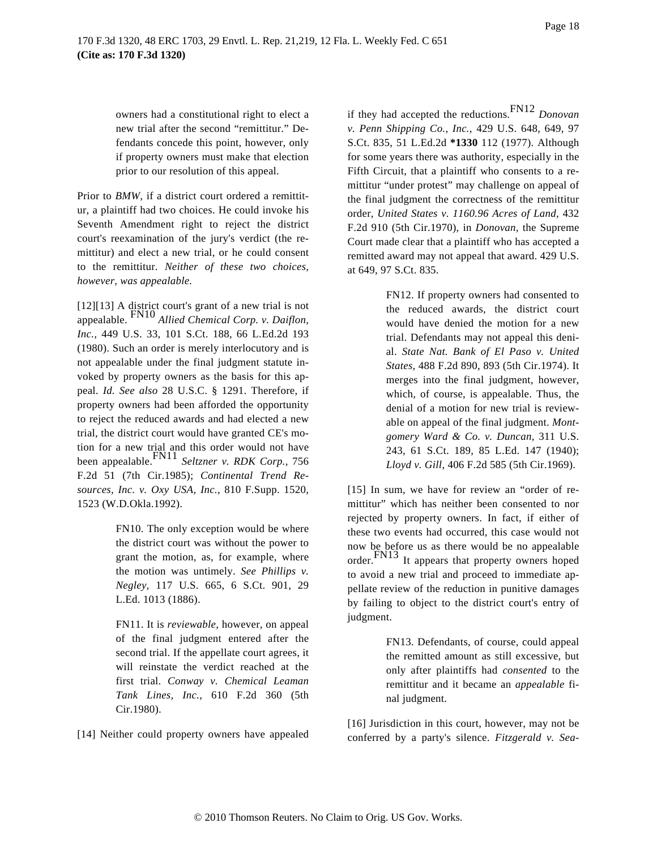owners had a constitutional right to elect a new trial after the second "remittitur." Defendants concede this point, however, only if property owners must make that election prior to our resolution of this appeal.

Prior to *BMW*, if a district court ordered a remittitur, a plaintiff had two choices. He could invoke his Seventh Amendment right to reject the district court's reexamination of the jury's verdict (the remittitur) and elect a new trial, or he could consent to the remittitur. *Neither of these two choices, however, was appealable.*

[12][13] A district court's grant of a new trial is not appealable. FN10 *Allied Chemical Corp. v. Daiflon, Inc.,* 449 U.S. 33, 101 S.Ct. 188, 66 L.Ed.2d 193 (1980). Such an order is merely interlocutory and is not appealable under the final judgment statute invoked by property owners as the basis for this appeal. *Id. See also* 28 U.S.C. § 1291. Therefore, if property owners had been afforded the opportunity to reject the reduced awards and had elected a new trial, the district court would have granted CE's motion for a new trial and this order would not have<br>been appealable. Seltzner v. RDK Corp., 756 F.2d 51 (7th Cir.1985); *Continental Trend Resources, Inc. v. Oxy USA, Inc.,* 810 F.Supp. 1520, 1523 (W.D.Okla.1992).

> FN10. The only exception would be where the district court was without the power to grant the motion, as, for example, where the motion was untimely. *See Phillips v. Negley,* 117 U.S. 665, 6 S.Ct. 901, 29 L.Ed. 1013 (1886).

> FN11. It is *reviewable,* however, on appeal of the final judgment entered after the second trial. If the appellate court agrees, it will reinstate the verdict reached at the first trial. *Conway v. Chemical Leaman Tank Lines, Inc.,* 610 F.2d 360 (5th Cir.1980).

[14] Neither could property owners have appealed

if they had accepted the reductions.FN12 *Donovan v. Penn Shipping Co., Inc.,* 429 U.S. 648, 649, 97 S.Ct. 835, 51 L.Ed.2d **\*1330** 112 (1977). Although for some years there was authority, especially in the Fifth Circuit, that a plaintiff who consents to a remittitur "under protest" may challenge on appeal of the final judgment the correctness of the remittitur order, *United States v. 1160.96 Acres of Land,* 432 F.2d 910 (5th Cir.1970), in *Donovan,* the Supreme Court made clear that a plaintiff who has accepted a remitted award may not appeal that award. 429 U.S. at 649, 97 S.Ct. 835.

> FN12. If property owners had consented to the reduced awards, the district court would have denied the motion for a new trial. Defendants may not appeal this denial. *State Nat. Bank of El Paso v. United States,* 488 F.2d 890, 893 (5th Cir.1974). It merges into the final judgment, however, which, of course, is appealable. Thus, the denial of a motion for new trial is reviewable on appeal of the final judgment. *Montgomery Ward & Co. v. Duncan,* 311 U.S. 243, 61 S.Ct. 189, 85 L.Ed. 147 (1940); *Lloyd v. Gill,* 406 F.2d 585 (5th Cir.1969).

[15] In sum, we have for review an "order of remittitur" which has neither been consented to nor rejected by property owners. In fact, if either of these two events had occurred, this case would not now be before us as there would be no appealable order.FN13 It appears that property owners hoped to avoid a new trial and proceed to immediate appellate review of the reduction in punitive damages by failing to object to the district court's entry of judgment.

> FN13. Defendants, of course, could appeal the remitted amount as still excessive, but only after plaintiffs had *consented* to the remittitur and it became an *appealable* final judgment.

[16] Jurisdiction in this court, however, may not be conferred by a party's silence. *Fitzgerald v. Sea-*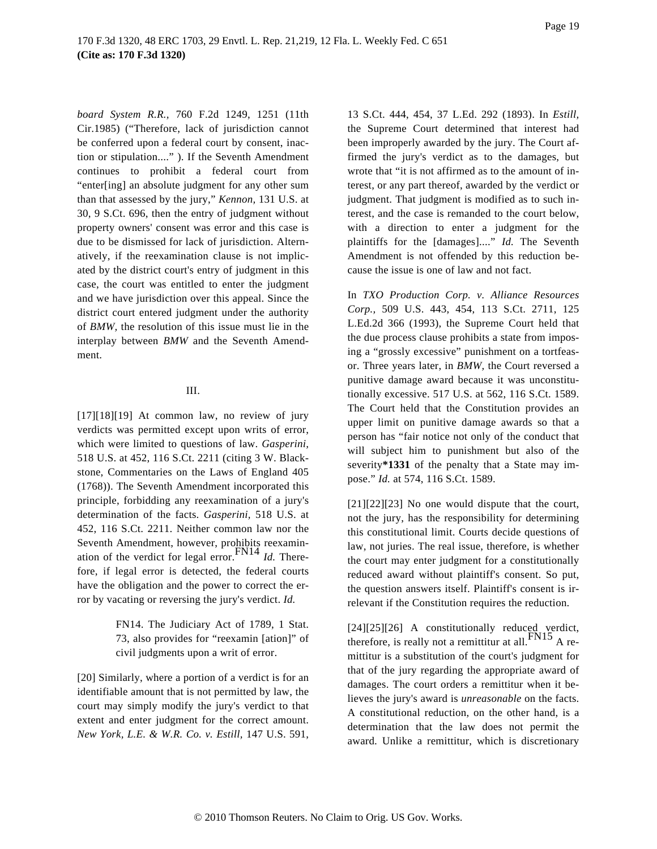*board System R.R.,* 760 F.2d 1249, 1251 (11th Cir.1985) ("Therefore, lack of jurisdiction cannot be conferred upon a federal court by consent, inaction or stipulation...." ). If the Seventh Amendment continues to prohibit a federal court from "enter[ing] an absolute judgment for any other sum than that assessed by the jury," *Kennon,* 131 U.S. at 30, 9 S.Ct. 696, then the entry of judgment without property owners' consent was error and this case is due to be dismissed for lack of jurisdiction. Alternatively, if the reexamination clause is not implicated by the district court's entry of judgment in this case, the court was entitled to enter the judgment and we have jurisdiction over this appeal. Since the district court entered judgment under the authority of *BMW,* the resolution of this issue must lie in the interplay between *BMW* and the Seventh Amendment.

# III.

[17][18][19] At common law, no review of jury verdicts was permitted except upon writs of error, which were limited to questions of law. *Gasperini,* 518 U.S. at 452, 116 S.Ct. 2211 (citing 3 W. Blackstone, Commentaries on the Laws of England 405 (1768)). The Seventh Amendment incorporated this principle, forbidding any reexamination of a jury's determination of the facts. *Gasperini,* 518 U.S. at 452, 116 S.Ct. 2211. Neither common law nor the Seventh Amendment, however, prohibits reexamination of the verdict for legal error.<sup>FN14</sup> *Id.* Therefore, if legal error is detected, the federal courts have the obligation and the power to correct the error by vacating or reversing the jury's verdict. *Id.*

> FN14. The Judiciary Act of 1789, 1 Stat. 73, also provides for "reexamin [ation]" of civil judgments upon a writ of error.

[20] Similarly, where a portion of a verdict is for an identifiable amount that is not permitted by law, the court may simply modify the jury's verdict to that extent and enter judgment for the correct amount. *New York, L.E. & W.R. Co. v. Estill,* 147 U.S. 591,

13 S.Ct. 444, 454, 37 L.Ed. 292 (1893). In *Estill,* the Supreme Court determined that interest had been improperly awarded by the jury. The Court affirmed the jury's verdict as to the damages, but wrote that "it is not affirmed as to the amount of interest, or any part thereof, awarded by the verdict or judgment. That judgment is modified as to such interest, and the case is remanded to the court below, with a direction to enter a judgment for the plaintiffs for the [damages]...." *Id.* The Seventh Amendment is not offended by this reduction because the issue is one of law and not fact.

In *TXO Production Corp. v. Alliance Resources Corp.,* 509 U.S. 443, 454, 113 S.Ct. 2711, 125 L.Ed.2d 366 (1993), the Supreme Court held that the due process clause prohibits a state from imposing a "grossly excessive" punishment on a tortfeasor. Three years later, in *BMW,* the Court reversed a punitive damage award because it was unconstitutionally excessive. 517 U.S. at 562, 116 S.Ct. 1589. The Court held that the Constitution provides an upper limit on punitive damage awards so that a person has "fair notice not only of the conduct that will subject him to punishment but also of the severity**\*1331** of the penalty that a State may impose." *Id.* at 574, 116 S.Ct. 1589.

 $[21][22][23]$  No one would dispute that the court, not the jury, has the responsibility for determining this constitutional limit. Courts decide questions of law, not juries. The real issue, therefore, is whether the court may enter judgment for a constitutionally reduced award without plaintiff's consent. So put, the question answers itself. Plaintiff's consent is irrelevant if the Constitution requires the reduction.

[24][25][26] A constitutionally reduced verdict, therefore, is really not a remittitur at all.  $FNI5$  A remittitur is a substitution of the court's judgment for that of the jury regarding the appropriate award of damages. The court orders a remittitur when it believes the jury's award is *unreasonable* on the facts. A constitutional reduction, on the other hand, is a determination that the law does not permit the award. Unlike a remittitur, which is discretionary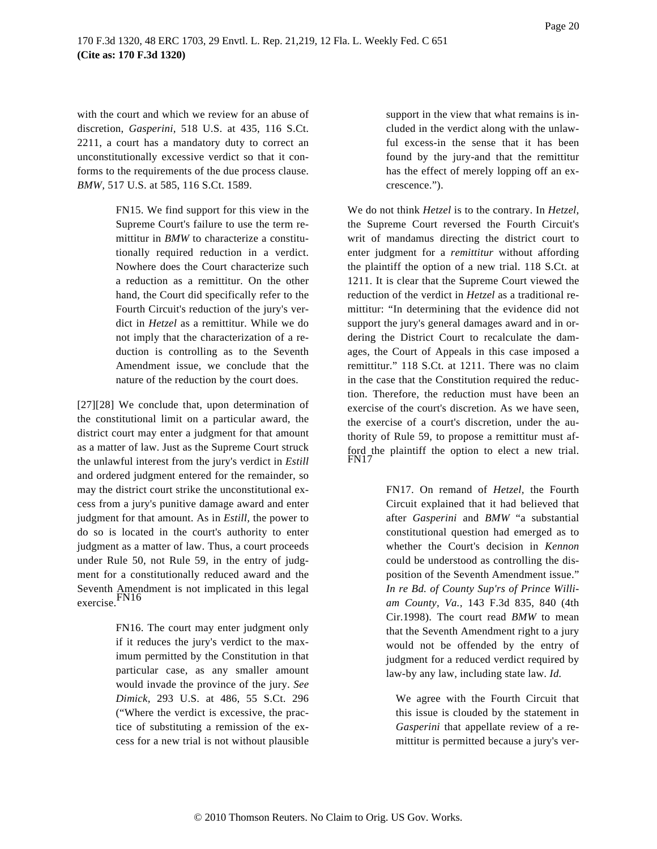with the court and which we review for an abuse of discretion, *Gasperini,* 518 U.S. at 435, 116 S.Ct. 2211, a court has a mandatory duty to correct an unconstitutionally excessive verdict so that it conforms to the requirements of the due process clause. *BMW,* 517 U.S. at 585, 116 S.Ct. 1589.

> FN15. We find support for this view in the Supreme Court's failure to use the term remittitur in *BMW* to characterize a constitutionally required reduction in a verdict. Nowhere does the Court characterize such a reduction as a remittitur. On the other hand, the Court did specifically refer to the Fourth Circuit's reduction of the jury's verdict in *Hetzel* as a remittitur. While we do not imply that the characterization of a reduction is controlling as to the Seventh Amendment issue, we conclude that the nature of the reduction by the court does.

[27][28] We conclude that, upon determination of the constitutional limit on a particular award, the district court may enter a judgment for that amount as a matter of law. Just as the Supreme Court struck the unlawful interest from the jury's verdict in *Estill* and ordered judgment entered for the remainder, so may the district court strike the unconstitutional excess from a jury's punitive damage award and enter judgment for that amount. As in *Estill,* the power to do so is located in the court's authority to enter judgment as a matter of law. Thus, a court proceeds under Rule 50, not Rule 59, in the entry of judgment for a constitutionally reduced award and the Seventh Amendment is not implicated in this legal exercise.

> FN16. The court may enter judgment only if it reduces the jury's verdict to the maximum permitted by the Constitution in that particular case, as any smaller amount would invade the province of the jury. *See Dimick,* 293 U.S. at 486, 55 S.Ct. 296 ("Where the verdict is excessive, the practice of substituting a remission of the excess for a new trial is not without plausible

support in the view that what remains is included in the verdict along with the unlawful excess-in the sense that it has been found by the jury-and that the remittitur has the effect of merely lopping off an excrescence.").

We do not think *Hetzel* is to the contrary. In *Hetzel,* the Supreme Court reversed the Fourth Circuit's writ of mandamus directing the district court to enter judgment for a *remittitur* without affording the plaintiff the option of a new trial. 118 S.Ct. at 1211. It is clear that the Supreme Court viewed the reduction of the verdict in *Hetzel* as a traditional remittitur: "In determining that the evidence did not support the jury's general damages award and in ordering the District Court to recalculate the damages, the Court of Appeals in this case imposed a remittitur." 118 S.Ct. at 1211. There was no claim in the case that the Constitution required the reduction. Therefore, the reduction must have been an exercise of the court's discretion. As we have seen, the exercise of a court's discretion, under the authority of Rule 59, to propose a remittitur must afford the plaintiff the option to elect a new trial. FN17

> FN17. On remand of *Hetzel,* the Fourth Circuit explained that it had believed that after *Gasperini* and *BMW* "a substantial constitutional question had emerged as to whether the Court's decision in *Kennon* could be understood as controlling the disposition of the Seventh Amendment issue." *In re Bd. of County Sup'rs of Prince William County, Va.,* 143 F.3d 835, 840 (4th Cir.1998). The court read *BMW* to mean that the Seventh Amendment right to a jury would not be offended by the entry of judgment for a reduced verdict required by law-by any law, including state law. *Id.*

We agree with the Fourth Circuit that this issue is clouded by the statement in *Gasperini* that appellate review of a remittitur is permitted because a jury's ver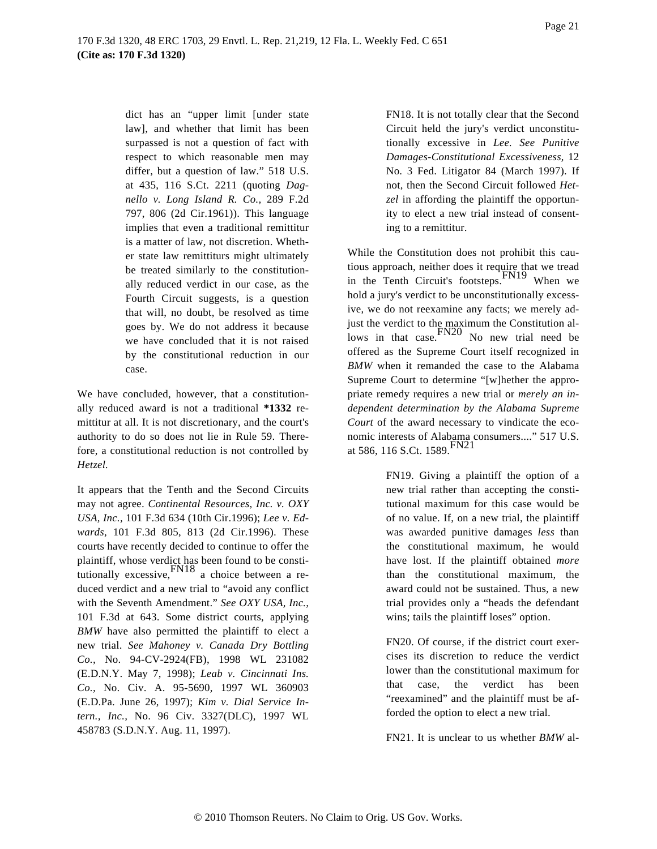dict has an "upper limit [under state law], and whether that limit has been surpassed is not a question of fact with respect to which reasonable men may differ, but a question of law." 518 U.S. at 435, 116 S.Ct. 2211 (quoting *Dagnello v. Long Island R. Co.,* 289 F.2d 797, 806 (2d Cir.1961)). This language implies that even a traditional remittitur is a matter of law, not discretion. Whether state law remittiturs might ultimately be treated similarly to the constitutionally reduced verdict in our case, as the Fourth Circuit suggests, is a question that will, no doubt, be resolved as time goes by. We do not address it because we have concluded that it is not raised by the constitutional reduction in our case.

We have concluded, however, that a constitutionally reduced award is not a traditional **\*1332** remittitur at all. It is not discretionary, and the court's authority to do so does not lie in Rule 59. Therefore, a constitutional reduction is not controlled by *Hetzel.*

It appears that the Tenth and the Second Circuits may not agree. *Continental Resources, Inc. v. OXY USA, Inc.,* 101 F.3d 634 (10th Cir.1996); *Lee v. Edwards,* 101 F.3d 805, 813 (2d Cir.1996). These courts have recently decided to continue to offer the plaintiff, whose verdict has been found to be constitutionally excessive,  $\frac{FN18}{a}$  a choice between a reduced verdict and a new trial to "avoid any conflict with the Seventh Amendment." *See OXY USA, Inc.,* 101 F.3d at 643. Some district courts, applying *BMW* have also permitted the plaintiff to elect a new trial. *See Mahoney v. Canada Dry Bottling Co.,* No. 94-CV-2924(FB), 1998 WL 231082 (E.D.N.Y. May 7, 1998); *Leab v. Cincinnati Ins. Co.,* No. Civ. A. 95-5690, 1997 WL 360903 (E.D.Pa. June 26, 1997); *Kim v. Dial Service Intern., Inc.,* No. 96 Civ. 3327(DLC), 1997 WL 458783 (S.D.N.Y. Aug. 11, 1997).

FN18. It is not totally clear that the Second Circuit held the jury's verdict unconstitutionally excessive in *Lee. See Punitive Damages-Constitutional Excessiveness,* 12 No. 3 Fed. Litigator 84 (March 1997). If not, then the Second Circuit followed *Hetzel* in affording the plaintiff the opportunity to elect a new trial instead of consenting to a remittitur.

While the Constitution does not prohibit this cautious approach, neither does it require that we tread in the Tenth Circuit's footsteps.FN19 When we hold a jury's verdict to be unconstitutionally excessive, we do not reexamine any facts; we merely adjust the verdict to the maximum the Constitution al-<br>lows in that case. FN20 No new trial need be offered as the Supreme Court itself recognized in *BMW* when it remanded the case to the Alabama Supreme Court to determine "[w]hether the appropriate remedy requires a new trial or *merely an independent determination by the Alabama Supreme Court* of the award necessary to vindicate the economic interests of Alabama consumers...." 517 U.S. at 586, 116 S.Ct. 1589.FN21

> FN19. Giving a plaintiff the option of a new trial rather than accepting the constitutional maximum for this case would be of no value. If, on a new trial, the plaintiff was awarded punitive damages *less* than the constitutional maximum, he would have lost. If the plaintiff obtained *more* than the constitutional maximum, the award could not be sustained. Thus, a new trial provides only a "heads the defendant wins; tails the plaintiff loses" option.

> FN20. Of course, if the district court exercises its discretion to reduce the verdict lower than the constitutional maximum for that case, the verdict has been "reexamined" and the plaintiff must be afforded the option to elect a new trial.

> FN21. It is unclear to us whether *BMW* al-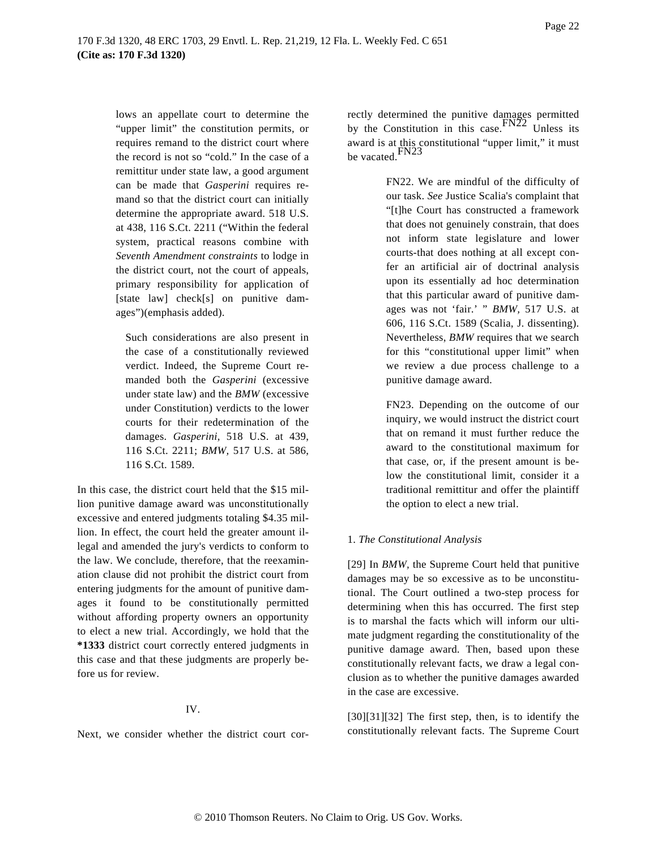lows an appellate court to determine the "upper limit" the constitution permits, or requires remand to the district court where the record is not so "cold." In the case of a remittitur under state law, a good argument can be made that *Gasperini* requires remand so that the district court can initially determine the appropriate award. 518 U.S. at 438, 116 S.Ct. 2211 ("Within the federal system, practical reasons combine with *Seventh Amendment constraints* to lodge in the district court, not the court of appeals, primary responsibility for application of [state law] check[s] on punitive damages")(emphasis added).

Such considerations are also present in the case of a constitutionally reviewed verdict. Indeed, the Supreme Court remanded both the *Gasperini* (excessive under state law) and the *BMW* (excessive under Constitution) verdicts to the lower courts for their redetermination of the damages. *Gasperini,* 518 U.S. at 439, 116 S.Ct. 2211; *BMW,* 517 U.S. at 586, 116 S.Ct. 1589.

In this case, the district court held that the \$15 million punitive damage award was unconstitutionally excessive and entered judgments totaling \$4.35 million. In effect, the court held the greater amount illegal and amended the jury's verdicts to conform to the law. We conclude, therefore, that the reexamination clause did not prohibit the district court from entering judgments for the amount of punitive damages it found to be constitutionally permitted without affording property owners an opportunity to elect a new trial. Accordingly, we hold that the **\*1333** district court correctly entered judgments in this case and that these judgments are properly before us for review.

# IV.

Next, we consider whether the district court cor-

rectly determined the punitive damages permitted by the Constitution in this case. FN22 Unless its award is at this constitutional "upper limit," it must<br>be vacated.

> FN22. We are mindful of the difficulty of our task. *See* Justice Scalia's complaint that "[t]he Court has constructed a framework that does not genuinely constrain, that does not inform state legislature and lower courts-that does nothing at all except confer an artificial air of doctrinal analysis upon its essentially ad hoc determination that this particular award of punitive damages was not 'fair.' " *BMW,* 517 U.S. at 606, 116 S.Ct. 1589 (Scalia, J. dissenting). Nevertheless, *BMW* requires that we search for this "constitutional upper limit" when we review a due process challenge to a punitive damage award.

> FN23. Depending on the outcome of our inquiry, we would instruct the district court that on remand it must further reduce the award to the constitutional maximum for that case, or, if the present amount is below the constitutional limit, consider it a traditional remittitur and offer the plaintiff the option to elect a new trial.

# 1. *The Constitutional Analysis*

[29] In *BMW,* the Supreme Court held that punitive damages may be so excessive as to be unconstitutional. The Court outlined a two-step process for determining when this has occurred. The first step is to marshal the facts which will inform our ultimate judgment regarding the constitutionality of the punitive damage award. Then, based upon these constitutionally relevant facts, we draw a legal conclusion as to whether the punitive damages awarded in the case are excessive.

[30][31][32] The first step, then, is to identify the constitutionally relevant facts. The Supreme Court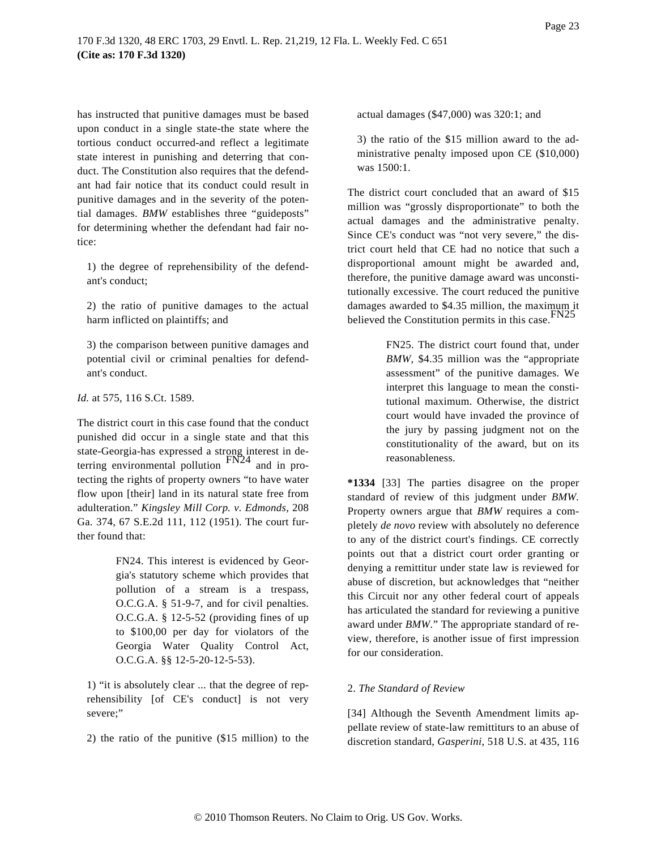has instructed that punitive damages must be based upon conduct in a single state-the state where the tortious conduct occurred-and reflect a legitimate state interest in punishing and deterring that conduct. The Constitution also requires that the defendant had fair notice that its conduct could result in punitive damages and in the severity of the potential damages. *BMW* establishes three "guideposts" for determining whether the defendant had fair notice:

1) the degree of reprehensibility of the defendant's conduct;

2) the ratio of punitive damages to the actual harm inflicted on plaintiffs; and

3) the comparison between punitive damages and potential civil or criminal penalties for defendant's conduct.

#### *Id.* at 575, 116 S.Ct. 1589.

The district court in this case found that the conduct punished did occur in a single state and that this state-Georgia-has expressed a strong interest in deterring environmental pollution FN24 and in protecting the rights of property owners "to have water flow upon [their] land in its natural state free from adulteration." *Kingsley Mill Corp. v. Edmonds,* 208 Ga. 374, 67 S.E.2d 111, 112 (1951). The court further found that:

> FN24. This interest is evidenced by Georgia's statutory scheme which provides that pollution of a stream is a trespass, O.C.G.A. § 51-9-7, and for civil penalties. O.C.G.A. § 12-5-52 (providing fines of up to \$100,00 per day for violators of the Georgia Water Quality Control Act, O.C.G.A. §§ 12-5-20-12-5-53).

1) "it is absolutely clear ... that the degree of reprehensibility [of CE's conduct] is not very severe;"

2) the ratio of the punitive (\$15 million) to the

actual damages (\$47,000) was 320:1; and

3) the ratio of the \$15 million award to the administrative penalty imposed upon CE (\$10,000) was 1500:1.

The district court concluded that an award of \$15 million was "grossly disproportionate" to both the actual damages and the administrative penalty. Since CE's conduct was "not very severe," the district court held that CE had no notice that such a disproportional amount might be awarded and, therefore, the punitive damage award was unconstitutionally excessive. The court reduced the punitive damages awarded to \$4.35 million, the maximum it believed the Constitution permits in this case.  $FN25$ 

> FN25. The district court found that, under *BMW,* \$4.35 million was the "appropriate assessment" of the punitive damages. We interpret this language to mean the constitutional maximum. Otherwise, the district court would have invaded the province of the jury by passing judgment not on the constitutionality of the award, but on its reasonableness.

**\*1334** [33] The parties disagree on the proper standard of review of this judgment under *BMW.* Property owners argue that *BMW* requires a completely *de novo* review with absolutely no deference to any of the district court's findings. CE correctly points out that a district court order granting or denying a remittitur under state law is reviewed for abuse of discretion, but acknowledges that "neither this Circuit nor any other federal court of appeals has articulated the standard for reviewing a punitive award under *BMW.*" The appropriate standard of review, therefore, is another issue of first impression for our consideration.

#### 2. *The Standard of Review*

[34] Although the Seventh Amendment limits appellate review of state-law remittiturs to an abuse of discretion standard, *Gasperini,* 518 U.S. at 435, 116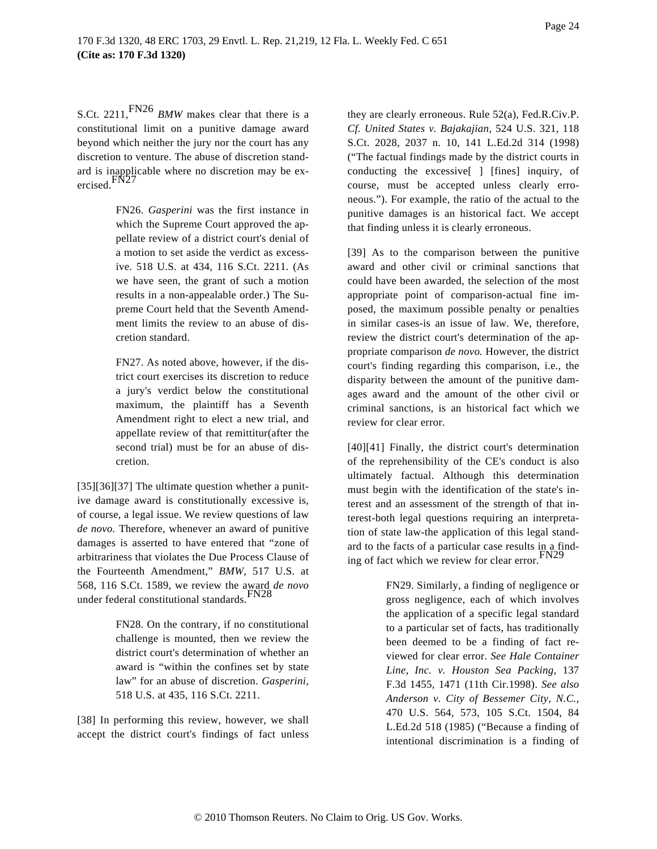S.Ct. 2211, FN<sub>26</sub> *BMW* makes clear that there is a constitutional limit on a punitive damage award beyond which neither the jury nor the court has any discretion to venture. The abuse of discretion standard is inapplicable where no discretion may be ex-<br>ercised.

> FN26. *Gasperini* was the first instance in which the Supreme Court approved the appellate review of a district court's denial of a motion to set aside the verdict as excessive. 518 U.S. at 434, 116 S.Ct. 2211. (As we have seen, the grant of such a motion results in a non-appealable order.) The Supreme Court held that the Seventh Amendment limits the review to an abuse of discretion standard.

> FN27. As noted above, however, if the district court exercises its discretion to reduce a jury's verdict below the constitutional maximum, the plaintiff has a Seventh Amendment right to elect a new trial, and appellate review of that remittitur(after the second trial) must be for an abuse of discretion.

[35][36][37] The ultimate question whether a punitive damage award is constitutionally excessive is, of course, a legal issue. We review questions of law *de novo.* Therefore, whenever an award of punitive damages is asserted to have entered that "zone of arbitrariness that violates the Due Process Clause of the Fourteenth Amendment," *BMW,* 517 U.S. at 568, 116 S.Ct. 1589, we review the award *de novo* under federal constitutional standards.<sup>FN28</sup>

> FN28. On the contrary, if no constitutional challenge is mounted, then we review the district court's determination of whether an award is "within the confines set by state law" for an abuse of discretion. *Gasperini,* 518 U.S. at 435, 116 S.Ct. 2211.

[38] In performing this review, however, we shall accept the district court's findings of fact unless

they are clearly erroneous. Rule 52(a), Fed.R.Civ.P. *Cf. United States v. Bajakajian,* 524 U.S. 321, 118 S.Ct. 2028, 2037 n. 10, 141 L.Ed.2d 314 (1998) ("The factual findings made by the district courts in conducting the excessive[ ] [fines] inquiry, of course, must be accepted unless clearly erroneous."). For example, the ratio of the actual to the punitive damages is an historical fact. We accept that finding unless it is clearly erroneous.

[39] As to the comparison between the punitive award and other civil or criminal sanctions that could have been awarded, the selection of the most appropriate point of comparison-actual fine imposed, the maximum possible penalty or penalties in similar cases-is an issue of law. We, therefore, review the district court's determination of the appropriate comparison *de novo.* However, the district court's finding regarding this comparison, i.e., the disparity between the amount of the punitive damages award and the amount of the other civil or criminal sanctions, is an historical fact which we review for clear error.

[40][41] Finally, the district court's determination of the reprehensibility of the CE's conduct is also ultimately factual. Although this determination must begin with the identification of the state's interest and an assessment of the strength of that interest-both legal questions requiring an interpretation of state law-the application of this legal standard to the facts of a particular case results in a finding of fact which we review for clear error.<sup>FN29</sup>

> FN29. Similarly, a finding of negligence or gross negligence, each of which involves the application of a specific legal standard to a particular set of facts, has traditionally been deemed to be a finding of fact reviewed for clear error. *See Hale Container Line, Inc. v. Houston Sea Packing,* 137 F.3d 1455, 1471 (11th Cir.1998). *See also Anderson v. City of Bessemer City, N.C.,* 470 U.S. 564, 573, 105 S.Ct. 1504, 84 L.Ed.2d 518 (1985) ("Because a finding of intentional discrimination is a finding of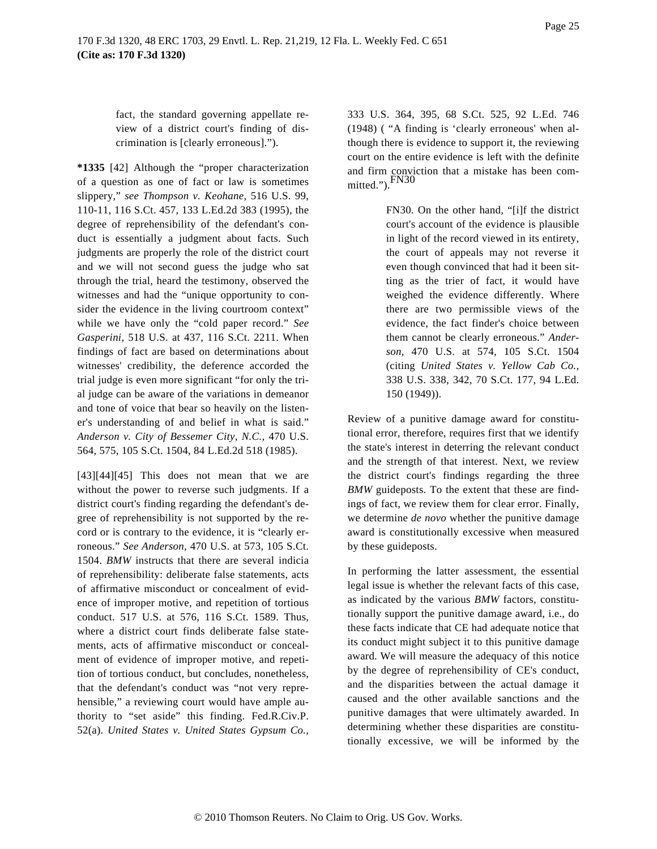fact, the standard governing appellate review of a district court's finding of discrimination is [clearly erroneous].").

**\*1335** [42] Although the "proper characterization of a question as one of fact or law is sometimes slippery," *see Thompson v. Keohane,* 516 U.S. 99, 110-11, 116 S.Ct. 457, 133 L.Ed.2d 383 (1995), the degree of reprehensibility of the defendant's conduct is essentially a judgment about facts. Such judgments are properly the role of the district court and we will not second guess the judge who sat through the trial, heard the testimony, observed the witnesses and had the "unique opportunity to consider the evidence in the living courtroom context" while we have only the "cold paper record." *See Gasperini,* 518 U.S. at 437, 116 S.Ct. 2211. When findings of fact are based on determinations about witnesses' credibility, the deference accorded the trial judge is even more significant "for only the trial judge can be aware of the variations in demeanor and tone of voice that bear so heavily on the listener's understanding of and belief in what is said." *Anderson v. City of Bessemer City, N.C.,* 470 U.S. 564, 575, 105 S.Ct. 1504, 84 L.Ed.2d 518 (1985).

 $[43][44][45]$  This does not mean that we are without the power to reverse such judgments. If a district court's finding regarding the defendant's degree of reprehensibility is not supported by the record or is contrary to the evidence, it is "clearly erroneous." *See Anderson,* 470 U.S. at 573, 105 S.Ct. 1504. *BMW* instructs that there are several indicia of reprehensibility: deliberate false statements, acts of affirmative misconduct or concealment of evidence of improper motive, and repetition of tortious conduct. 517 U.S. at 576, 116 S.Ct. 1589. Thus, where a district court finds deliberate false statements, acts of affirmative misconduct or concealment of evidence of improper motive, and repetition of tortious conduct, but concludes, nonetheless, that the defendant's conduct was "not very reprehensible," a reviewing court would have ample authority to "set aside" this finding. Fed.R.Civ.P. 52(a). *United States v. United States Gypsum Co.,*

333 U.S. 364, 395, 68 S.Ct. 525, 92 L.Ed. 746 (1948) ( "A finding is 'clearly erroneous' when although there is evidence to support it, the reviewing court on the entire evidence is left with the definite and firm conviction that a mistake has been committed.").<sup>FN30</sup>

> FN30. On the other hand, "[i]f the district court's account of the evidence is plausible in light of the record viewed in its entirety, the court of appeals may not reverse it even though convinced that had it been sitting as the trier of fact, it would have weighed the evidence differently. Where there are two permissible views of the evidence, the fact finder's choice between them cannot be clearly erroneous." *Anderson,* 470 U.S. at 574, 105 S.Ct. 1504 (citing *United States v. Yellow Cab Co.,* 338 U.S. 338, 342, 70 S.Ct. 177, 94 L.Ed. 150 (1949)).

Review of a punitive damage award for constitutional error, therefore, requires first that we identify the state's interest in deterring the relevant conduct and the strength of that interest. Next, we review the district court's findings regarding the three *BMW* guideposts. To the extent that these are findings of fact, we review them for clear error. Finally, we determine *de novo* whether the punitive damage award is constitutionally excessive when measured by these guideposts.

In performing the latter assessment, the essential legal issue is whether the relevant facts of this case, as indicated by the various *BMW* factors, constitutionally support the punitive damage award, i.e., do these facts indicate that CE had adequate notice that its conduct might subject it to this punitive damage award. We will measure the adequacy of this notice by the degree of reprehensibility of CE's conduct, and the disparities between the actual damage it caused and the other available sanctions and the punitive damages that were ultimately awarded. In determining whether these disparities are constitutionally excessive, we will be informed by the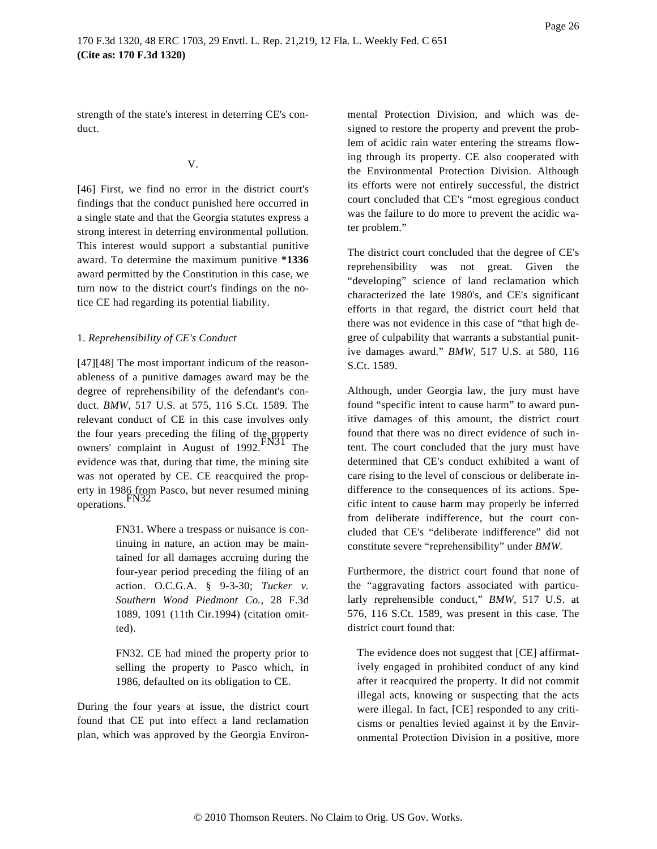strength of the state's interest in deterring CE's conduct.

V.

[46] First, we find no error in the district court's findings that the conduct punished here occurred in a single state and that the Georgia statutes express a strong interest in deterring environmental pollution. This interest would support a substantial punitive award. To determine the maximum punitive **\*1336** award permitted by the Constitution in this case, we turn now to the district court's findings on the notice CE had regarding its potential liability.

#### 1. *Reprehensibility of CE's Conduct*

[47][48] The most important indicum of the reasonableness of a punitive damages award may be the degree of reprehensibility of the defendant's conduct. *BMW,* 517 U.S. at 575, 116 S.Ct. 1589. The relevant conduct of CE in this case involves only the four years preceding the filing of the property owners' complaint in August of 1992.<sup>FN31</sup> The evidence was that, during that time, the mining site was not operated by CE. CE reacquired the property in 1986 from Pasco, but never resumed mining operations.FN32

> FN31. Where a trespass or nuisance is continuing in nature, an action may be maintained for all damages accruing during the four-year period preceding the filing of an action. O.C.G.A. § 9-3-30; *Tucker v. Southern Wood Piedmont Co.,* 28 F.3d 1089, 1091 (11th Cir.1994) (citation omitted).

> FN32. CE had mined the property prior to selling the property to Pasco which, in 1986, defaulted on its obligation to CE.

During the four years at issue, the district court found that CE put into effect a land reclamation plan, which was approved by the Georgia Environmental Protection Division, and which was designed to restore the property and prevent the problem of acidic rain water entering the streams flowing through its property. CE also cooperated with the Environmental Protection Division. Although its efforts were not entirely successful, the district court concluded that CE's "most egregious conduct was the failure to do more to prevent the acidic water problem."

The district court concluded that the degree of CE's reprehensibility was not great. Given the "developing" science of land reclamation which characterized the late 1980's, and CE's significant efforts in that regard, the district court held that there was not evidence in this case of "that high degree of culpability that warrants a substantial punitive damages award." *BMW,* 517 U.S. at 580, 116 S.Ct. 1589.

Although, under Georgia law, the jury must have found "specific intent to cause harm" to award punitive damages of this amount, the district court found that there was no direct evidence of such intent. The court concluded that the jury must have determined that CE's conduct exhibited a want of care rising to the level of conscious or deliberate indifference to the consequences of its actions. Specific intent to cause harm may properly be inferred from deliberate indifference, but the court concluded that CE's "deliberate indifference" did not constitute severe "reprehensibility" under *BMW.*

Furthermore, the district court found that none of the "aggravating factors associated with particularly reprehensible conduct," *BMW,* 517 U.S. at 576, 116 S.Ct. 1589, was present in this case. The district court found that:

The evidence does not suggest that [CE] affirmatively engaged in prohibited conduct of any kind after it reacquired the property. It did not commit illegal acts, knowing or suspecting that the acts were illegal. In fact, [CE] responded to any criticisms or penalties levied against it by the Environmental Protection Division in a positive, more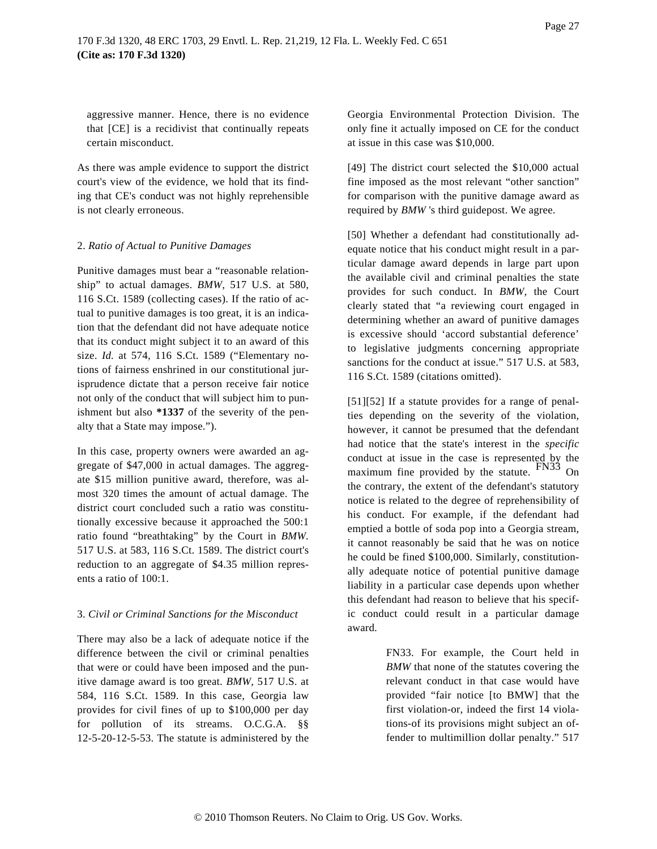aggressive manner. Hence, there is no evidence that [CE] is a recidivist that continually repeats certain misconduct.

As there was ample evidence to support the district court's view of the evidence, we hold that its finding that CE's conduct was not highly reprehensible is not clearly erroneous.

#### 2. *Ratio of Actual to Punitive Damages*

Punitive damages must bear a "reasonable relationship" to actual damages. *BMW,* 517 U.S. at 580, 116 S.Ct. 1589 (collecting cases). If the ratio of actual to punitive damages is too great, it is an indication that the defendant did not have adequate notice that its conduct might subject it to an award of this size. *Id.* at 574, 116 S.Ct. 1589 ("Elementary notions of fairness enshrined in our constitutional jurisprudence dictate that a person receive fair notice not only of the conduct that will subject him to punishment but also **\*1337** of the severity of the penalty that a State may impose.").

In this case, property owners were awarded an aggregate of \$47,000 in actual damages. The aggregate \$15 million punitive award, therefore, was almost 320 times the amount of actual damage. The district court concluded such a ratio was constitutionally excessive because it approached the 500:1 ratio found "breathtaking" by the Court in *BMW.* 517 U.S. at 583, 116 S.Ct. 1589. The district court's reduction to an aggregate of \$4.35 million represents a ratio of 100:1.

#### 3. *Civil or Criminal Sanctions for the Misconduct*

There may also be a lack of adequate notice if the difference between the civil or criminal penalties that were or could have been imposed and the punitive damage award is too great. *BMW,* 517 U.S. at 584, 116 S.Ct. 1589. In this case, Georgia law provides for civil fines of up to \$100,000 per day for pollution of its streams. O.C.G.A. §§ 12-5-20-12-5-53. The statute is administered by the Georgia Environmental Protection Division. The only fine it actually imposed on CE for the conduct at issue in this case was \$10,000.

[49] The district court selected the \$10,000 actual fine imposed as the most relevant "other sanction" for comparison with the punitive damage award as required by *BMW* 's third guidepost. We agree.

[50] Whether a defendant had constitutionally adequate notice that his conduct might result in a particular damage award depends in large part upon the available civil and criminal penalties the state provides for such conduct. In *BMW,* the Court clearly stated that "a reviewing court engaged in determining whether an award of punitive damages is excessive should 'accord substantial deference' to legislative judgments concerning appropriate sanctions for the conduct at issue." 517 U.S. at 583, 116 S.Ct. 1589 (citations omitted).

[51][52] If a statute provides for a range of penalties depending on the severity of the violation, however, it cannot be presumed that the defendant had notice that the state's interest in the *specific* conduct at issue in the case is represented by the maximum fine provided by the statute.  $\frac{FN33}{FN33}$  On the contrary, the extent of the defendant's statutory notice is related to the degree of reprehensibility of his conduct. For example, if the defendant had emptied a bottle of soda pop into a Georgia stream, it cannot reasonably be said that he was on notice he could be fined \$100,000. Similarly, constitutionally adequate notice of potential punitive damage liability in a particular case depends upon whether this defendant had reason to believe that his specific conduct could result in a particular damage award.

> FN33. For example, the Court held in *BMW* that none of the statutes covering the relevant conduct in that case would have provided "fair notice [to BMW] that the first violation-or, indeed the first 14 violations-of its provisions might subject an offender to multimillion dollar penalty." 517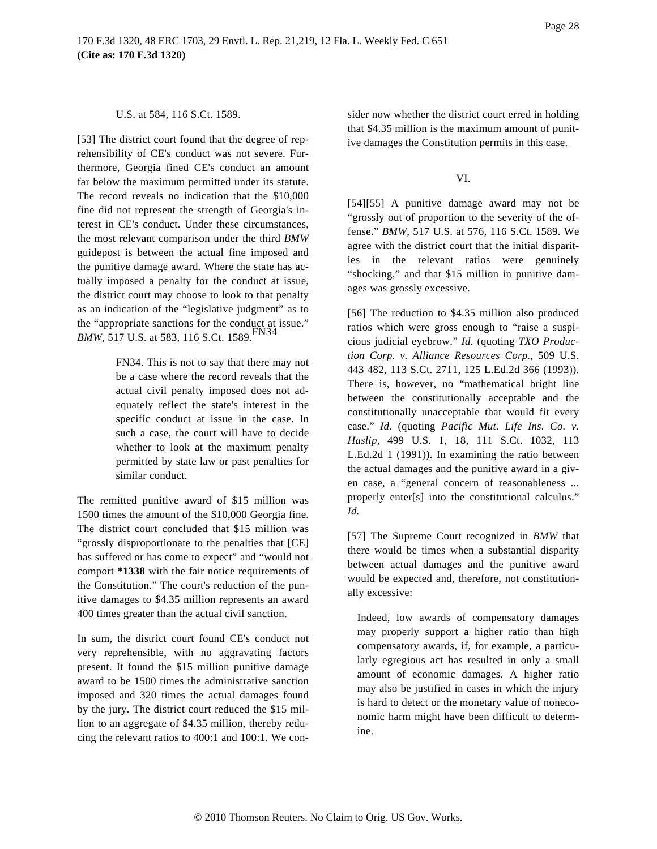#### U.S. at 584, 116 S.Ct. 1589.

[53] The district court found that the degree of reprehensibility of CE's conduct was not severe. Furthermore, Georgia fined CE's conduct an amount far below the maximum permitted under its statute. The record reveals no indication that the \$10,000 fine did not represent the strength of Georgia's interest in CE's conduct. Under these circumstances, the most relevant comparison under the third *BMW* guidepost is between the actual fine imposed and the punitive damage award. Where the state has actually imposed a penalty for the conduct at issue, the district court may choose to look to that penalty as an indication of the "legislative judgment" as to the "appropriate sanctions for the conduct at issue."<br>*BMW*, 517 U.S. at 583, 116 S.Ct. 1589.

> FN34. This is not to say that there may not be a case where the record reveals that the actual civil penalty imposed does not adequately reflect the state's interest in the specific conduct at issue in the case. In such a case, the court will have to decide whether to look at the maximum penalty permitted by state law or past penalties for similar conduct.

The remitted punitive award of \$15 million was 1500 times the amount of the \$10,000 Georgia fine. The district court concluded that \$15 million was "grossly disproportionate to the penalties that [CE] has suffered or has come to expect" and "would not comport **\*1338** with the fair notice requirements of the Constitution." The court's reduction of the punitive damages to \$4.35 million represents an award 400 times greater than the actual civil sanction.

In sum, the district court found CE's conduct not very reprehensible, with no aggravating factors present. It found the \$15 million punitive damage award to be 1500 times the administrative sanction imposed and 320 times the actual damages found by the jury. The district court reduced the \$15 million to an aggregate of \$4.35 million, thereby reducing the relevant ratios to 400:1 and 100:1. We consider now whether the district court erred in holding that \$4.35 million is the maximum amount of punitive damages the Constitution permits in this case.

#### VI.

[54][55] A punitive damage award may not be "grossly out of proportion to the severity of the offense." *BMW,* 517 U.S. at 576, 116 S.Ct. 1589. We agree with the district court that the initial disparities in the relevant ratios were genuinely "shocking," and that \$15 million in punitive damages was grossly excessive.

[56] The reduction to \$4.35 million also produced ratios which were gross enough to "raise a suspicious judicial eyebrow." *Id.* (quoting *TXO Production Corp. v. Alliance Resources Corp.,* 509 U.S. 443 482, 113 S.Ct. 2711, 125 L.Ed.2d 366 (1993)). There is, however, no "mathematical bright line between the constitutionally acceptable and the constitutionally unacceptable that would fit every case." *Id.* (quoting *Pacific Mut. Life Ins. Co. v. Haslip,* 499 U.S. 1, 18, 111 S.Ct. 1032, 113 L.Ed.2d 1 (1991)). In examining the ratio between the actual damages and the punitive award in a given case, a "general concern of reasonableness ... properly enter[s] into the constitutional calculus." *Id.*

[57] The Supreme Court recognized in *BMW* that there would be times when a substantial disparity between actual damages and the punitive award would be expected and, therefore, not constitutionally excessive:

Indeed, low awards of compensatory damages may properly support a higher ratio than high compensatory awards, if, for example, a particularly egregious act has resulted in only a small amount of economic damages. A higher ratio may also be justified in cases in which the injury is hard to detect or the monetary value of noneconomic harm might have been difficult to determine.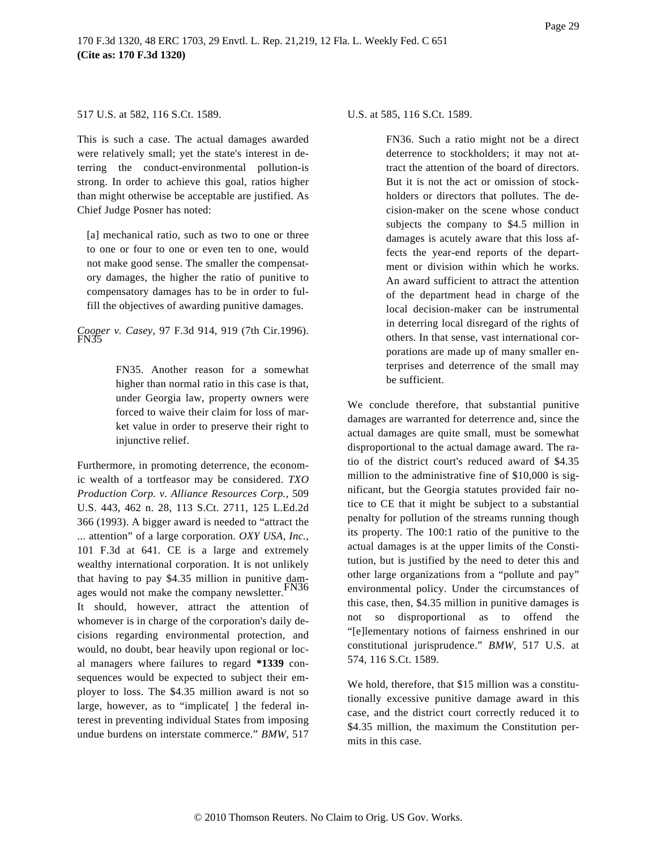#### 517 U.S. at 582, 116 S.Ct. 1589.

This is such a case. The actual damages awarded were relatively small; yet the state's interest in deterring the conduct-environmental pollution-is strong. In order to achieve this goal, ratios higher than might otherwise be acceptable are justified. As Chief Judge Posner has noted:

[a] mechanical ratio, such as two to one or three to one or four to one or even ten to one, would not make good sense. The smaller the compensatory damages, the higher the ratio of punitive to compensatory damages has to be in order to fulfill the objectives of awarding punitive damages.

# *Cooper v. Casey,* 97 F.3d 914, 919 (7th Cir.1996). FN35

FN35. Another reason for a somewhat higher than normal ratio in this case is that, under Georgia law, property owners were forced to waive their claim for loss of market value in order to preserve their right to injunctive relief.

Furthermore, in promoting deterrence, the economic wealth of a tortfeasor may be considered. *TXO Production Corp. v. Alliance Resources Corp.,* 509 U.S. 443, 462 n. 28, 113 S.Ct. 2711, 125 L.Ed.2d 366 (1993). A bigger award is needed to "attract the ... attention" of a large corporation. *OXY USA, Inc.,* 101 F.3d at 641. CE is a large and extremely wealthy international corporation. It is not unlikely that having to pay \$4.35 million in punitive damages would not make the company newsletter.FN36 It should, however, attract the attention of whomever is in charge of the corporation's daily decisions regarding environmental protection, and would, no doubt, bear heavily upon regional or local managers where failures to regard **\*1339** consequences would be expected to subject their employer to loss. The \$4.35 million award is not so large, however, as to "implicate[ ] the federal interest in preventing individual States from imposing undue burdens on interstate commerce." *BMW,* 517

#### U.S. at 585, 116 S.Ct. 1589.

FN36. Such a ratio might not be a direct deterrence to stockholders; it may not attract the attention of the board of directors. But it is not the act or omission of stockholders or directors that pollutes. The decision-maker on the scene whose conduct subjects the company to \$4.5 million in damages is acutely aware that this loss affects the year-end reports of the department or division within which he works. An award sufficient to attract the attention of the department head in charge of the local decision-maker can be instrumental in deterring local disregard of the rights of others. In that sense, vast international corporations are made up of many smaller enterprises and deterrence of the small may be sufficient.

We conclude therefore, that substantial punitive damages are warranted for deterrence and, since the actual damages are quite small, must be somewhat disproportional to the actual damage award. The ratio of the district court's reduced award of \$4.35 million to the administrative fine of \$10,000 is significant, but the Georgia statutes provided fair notice to CE that it might be subject to a substantial penalty for pollution of the streams running though its property. The 100:1 ratio of the punitive to the actual damages is at the upper limits of the Constitution, but is justified by the need to deter this and other large organizations from a "pollute and pay" environmental policy. Under the circumstances of this case, then, \$4.35 million in punitive damages is not so disproportional as to offend the "[e]lementary notions of fairness enshrined in our constitutional jurisprudence." *BMW,* 517 U.S. at 574, 116 S.Ct. 1589.

We hold, therefore, that \$15 million was a constitutionally excessive punitive damage award in this case, and the district court correctly reduced it to \$4.35 million, the maximum the Constitution permits in this case.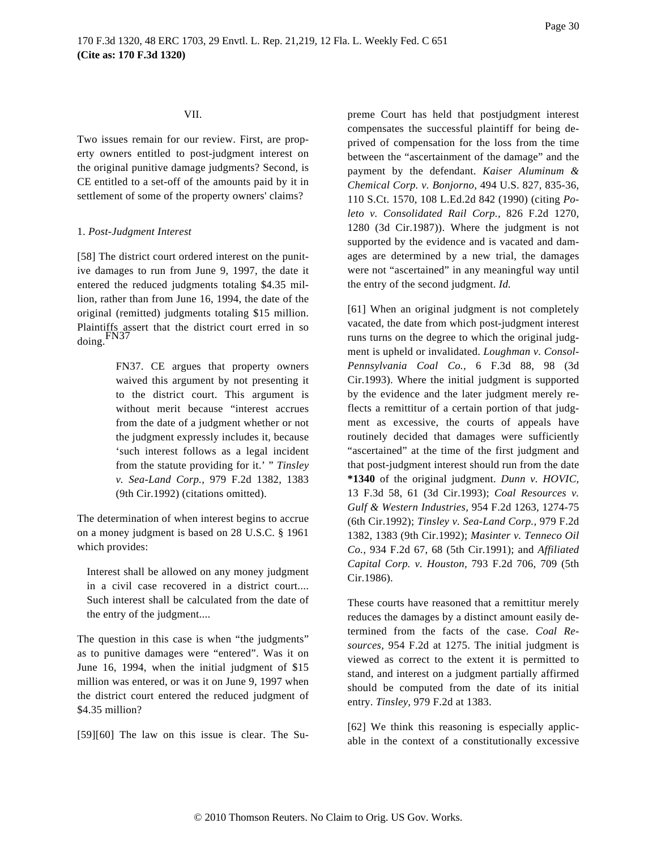#### VII.

Two issues remain for our review. First, are property owners entitled to post-judgment interest on the original punitive damage judgments? Second, is CE entitled to a set-off of the amounts paid by it in settlement of some of the property owners' claims?

#### 1. *Post-Judgment Interest*

[58] The district court ordered interest on the punitive damages to run from June 9, 1997, the date it entered the reduced judgments totaling \$4.35 million, rather than from June 16, 1994, the date of the original (remitted) judgments totaling \$15 million. Plaintiffs assert that the district court erred in so doing.FN37

> FN37. CE argues that property owners waived this argument by not presenting it to the district court. This argument is without merit because "interest accrues from the date of a judgment whether or not the judgment expressly includes it, because 'such interest follows as a legal incident from the statute providing for it.' " *Tinsley v. Sea-Land Corp.,* 979 F.2d 1382, 1383 (9th Cir.1992) (citations omitted).

The determination of when interest begins to accrue on a money judgment is based on 28 U.S.C. § 1961 which provides:

Interest shall be allowed on any money judgment in a civil case recovered in a district court.... Such interest shall be calculated from the date of the entry of the judgment....

The question in this case is when "the judgments" as to punitive damages were "entered". Was it on June 16, 1994, when the initial judgment of \$15 million was entered, or was it on June 9, 1997 when the district court entered the reduced judgment of \$4.35 million?

[59][60] The law on this issue is clear. The Su-

preme Court has held that postjudgment interest compensates the successful plaintiff for being deprived of compensation for the loss from the time between the "ascertainment of the damage" and the payment by the defendant. *Kaiser Aluminum & Chemical Corp. v. Bonjorno,* 494 U.S. 827, 835-36, 110 S.Ct. 1570, 108 L.Ed.2d 842 (1990) (citing *Poleto v. Consolidated Rail Corp.,* 826 F.2d 1270, 1280 (3d Cir.1987)). Where the judgment is not supported by the evidence and is vacated and damages are determined by a new trial, the damages were not "ascertained" in any meaningful way until the entry of the second judgment. *Id.*

[61] When an original judgment is not completely vacated, the date from which post-judgment interest runs turns on the degree to which the original judgment is upheld or invalidated. *Loughman v. Consol-Pennsylvania Coal Co.,* 6 F.3d 88, 98 (3d Cir.1993). Where the initial judgment is supported by the evidence and the later judgment merely reflects a remittitur of a certain portion of that judgment as excessive, the courts of appeals have routinely decided that damages were sufficiently "ascertained" at the time of the first judgment and that post-judgment interest should run from the date **\*1340** of the original judgment. *Dunn v. HOVIC,* 13 F.3d 58, 61 (3d Cir.1993); *Coal Resources v. Gulf & Western Industries,* 954 F.2d 1263, 1274-75 (6th Cir.1992); *Tinsley v. Sea-Land Corp.,* 979 F.2d 1382, 1383 (9th Cir.1992); *Masinter v. Tenneco Oil Co.,* 934 F.2d 67, 68 (5th Cir.1991); and *Affiliated Capital Corp. v. Houston,* 793 F.2d 706, 709 (5th Cir.1986).

These courts have reasoned that a remittitur merely reduces the damages by a distinct amount easily determined from the facts of the case. *Coal Resources,* 954 F.2d at 1275. The initial judgment is viewed as correct to the extent it is permitted to stand, and interest on a judgment partially affirmed should be computed from the date of its initial entry. *Tinsley,* 979 F.2d at 1383.

[62] We think this reasoning is especially applicable in the context of a constitutionally excessive